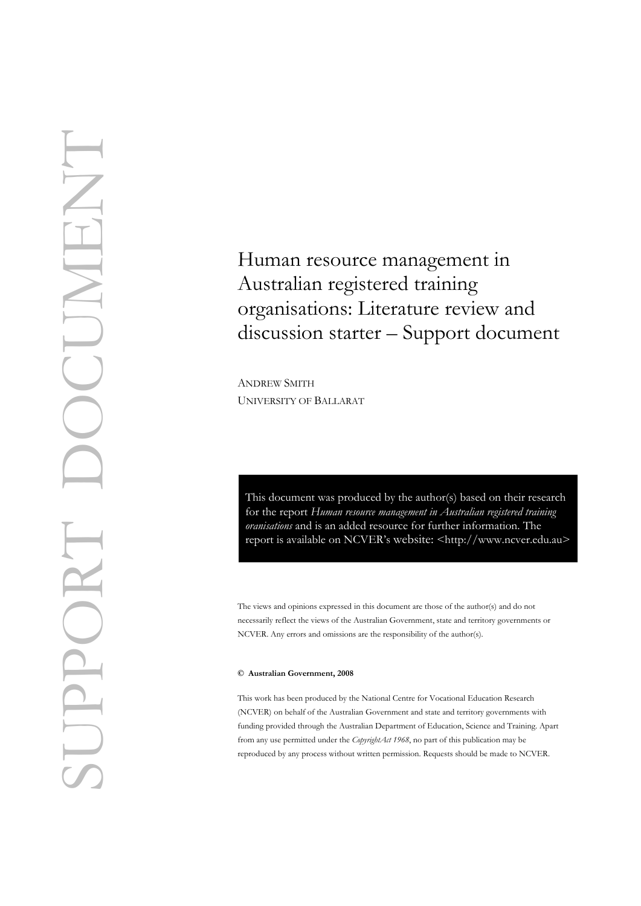# Human resource management in Australian registered training organisations: Literature review and discussion starter – Support document<br>ANDREW SMITH

UNIVERSITY OF BALLARAT

This document was produced by the author(s) based on their research for the report *Human resource management in Australian registered training oranisations* and is an added resource for further information. The report is available on NCVER's website: [<http://](http://www.ncver.edu.au/pubs.htm)www.ncver.edu.au>

The views and opinions expressed in this document are those of the author(s) and do not necessarily reflect the views of the Australian Government, state and territory governments or NCVER. Any errors and omissions are the responsibility of the author(s).

#### **© Australian Government, 2008**

This work has been produced by the National Centre for Vocational Education Research (NCVER) on behalf of the Australian Government and state and territory governments with funding provided through the Australian Department of Education, Science and Training. Apart from any use permitted under the *CopyrightAct 1968*, no part of this publication may be reproduced by any process without written permission. Requests should be made to NCVER.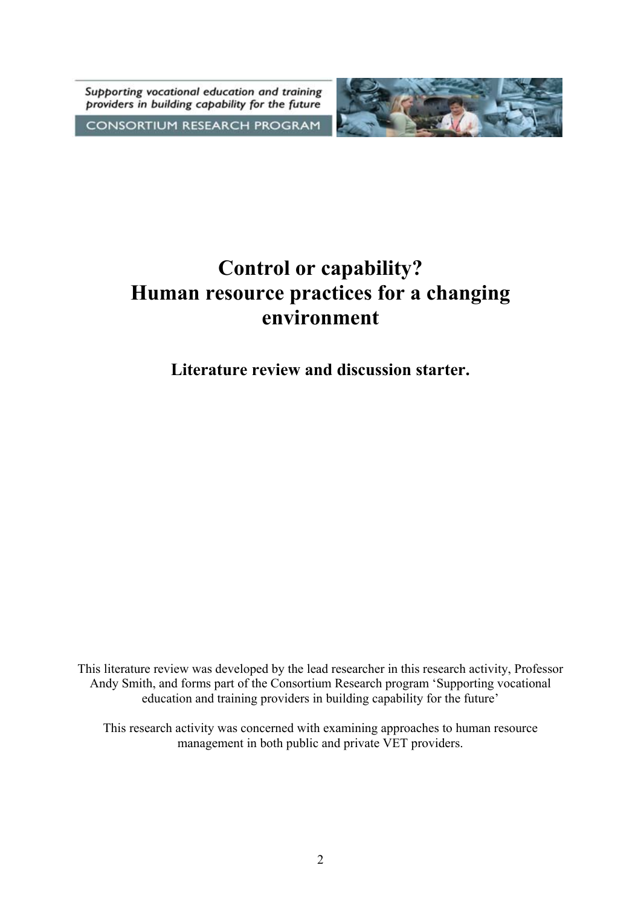Supporting vocational education and training providers in building capability for the future





# **Control or capability? Human resource practices for a changing environment**

**Literature review and discussion starter.** 

This literature review was developed by the lead researcher in this research activity, Professor Andy Smith, and forms part of the Consortium Research program 'Supporting vocational education and training providers in building capability for the future'

This research activity was concerned with examining approaches to human resource management in both public and private VET providers.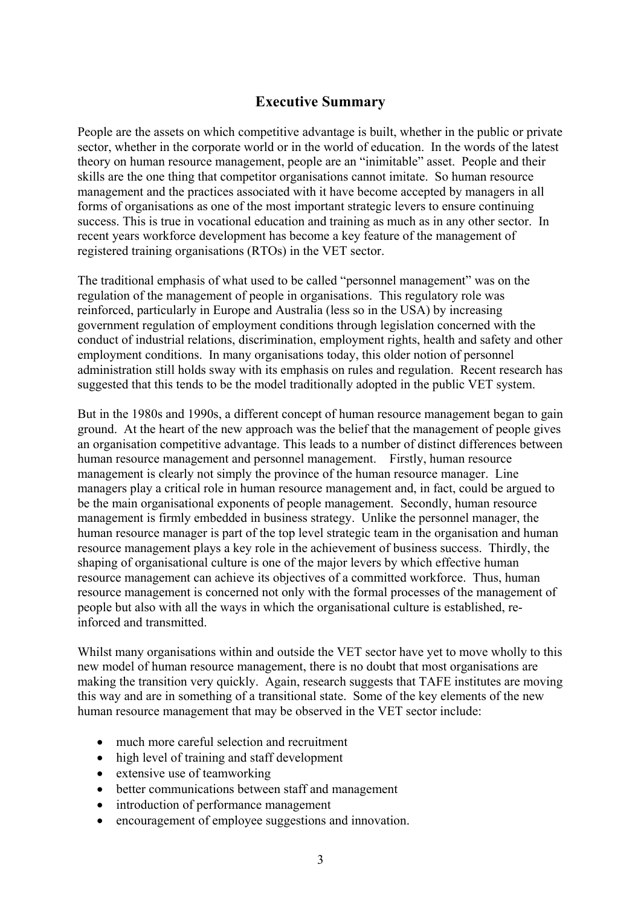# **Executive Summary**

People are the assets on which competitive advantage is built, whether in the public or private sector, whether in the corporate world or in the world of education. In the words of the latest theory on human resource management, people are an "inimitable" asset. People and their skills are the one thing that competitor organisations cannot imitate. So human resource management and the practices associated with it have become accepted by managers in all forms of organisations as one of the most important strategic levers to ensure continuing success. This is true in vocational education and training as much as in any other sector. In recent years workforce development has become a key feature of the management of registered training organisations (RTOs) in the VET sector.

The traditional emphasis of what used to be called "personnel management" was on the regulation of the management of people in organisations. This regulatory role was reinforced, particularly in Europe and Australia (less so in the USA) by increasing government regulation of employment conditions through legislation concerned with the conduct of industrial relations, discrimination, employment rights, health and safety and other employment conditions. In many organisations today, this older notion of personnel administration still holds sway with its emphasis on rules and regulation. Recent research has suggested that this tends to be the model traditionally adopted in the public VET system.

But in the 1980s and 1990s, a different concept of human resource management began to gain ground. At the heart of the new approach was the belief that the management of people gives an organisation competitive advantage. This leads to a number of distinct differences between human resource management and personnel management. Firstly, human resource management is clearly not simply the province of the human resource manager. Line managers play a critical role in human resource management and, in fact, could be argued to be the main organisational exponents of people management. Secondly, human resource management is firmly embedded in business strategy. Unlike the personnel manager, the human resource manager is part of the top level strategic team in the organisation and human resource management plays a key role in the achievement of business success. Thirdly, the shaping of organisational culture is one of the major levers by which effective human resource management can achieve its objectives of a committed workforce. Thus, human resource management is concerned not only with the formal processes of the management of people but also with all the ways in which the organisational culture is established, reinforced and transmitted.

Whilst many organisations within and outside the VET sector have yet to move wholly to this new model of human resource management, there is no doubt that most organisations are making the transition very quickly. Again, research suggests that TAFE institutes are moving this way and are in something of a transitional state. Some of the key elements of the new human resource management that may be observed in the VET sector include:

- much more careful selection and recruitment
- high level of training and staff development
- extensive use of teamworking
- better communications between staff and management
- introduction of performance management
- encouragement of employee suggestions and innovation.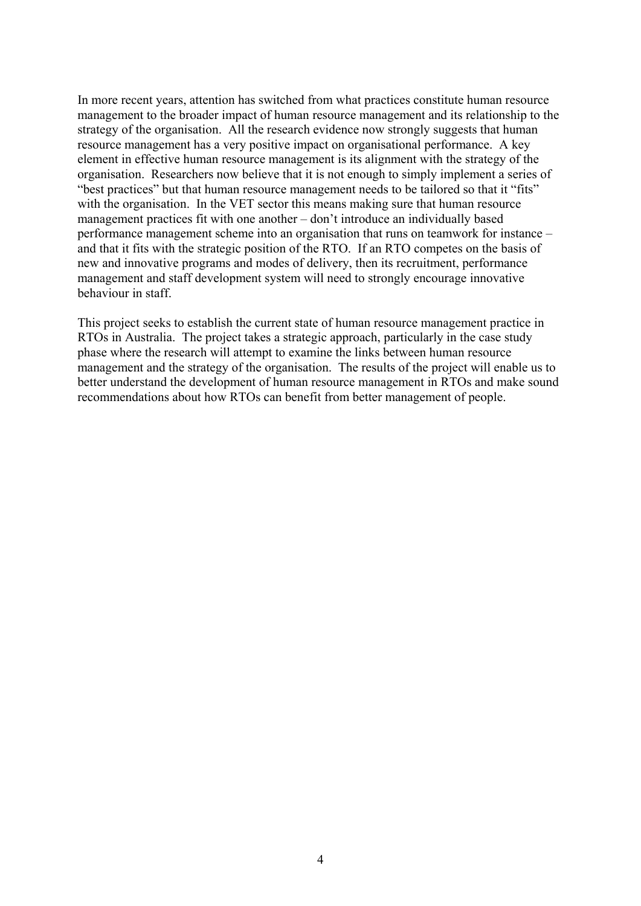In more recent years, attention has switched from what practices constitute human resource management to the broader impact of human resource management and its relationship to the strategy of the organisation. All the research evidence now strongly suggests that human resource management has a very positive impact on organisational performance. A key element in effective human resource management is its alignment with the strategy of the organisation. Researchers now believe that it is not enough to simply implement a series of "best practices" but that human resource management needs to be tailored so that it "fits" with the organisation. In the VET sector this means making sure that human resource management practices fit with one another – don't introduce an individually based performance management scheme into an organisation that runs on teamwork for instance – and that it fits with the strategic position of the RTO. If an RTO competes on the basis of new and innovative programs and modes of delivery, then its recruitment, performance management and staff development system will need to strongly encourage innovative behaviour in staff.

This project seeks to establish the current state of human resource management practice in RTOs in Australia. The project takes a strategic approach, particularly in the case study phase where the research will attempt to examine the links between human resource management and the strategy of the organisation. The results of the project will enable us to better understand the development of human resource management in RTOs and make sound recommendations about how RTOs can benefit from better management of people.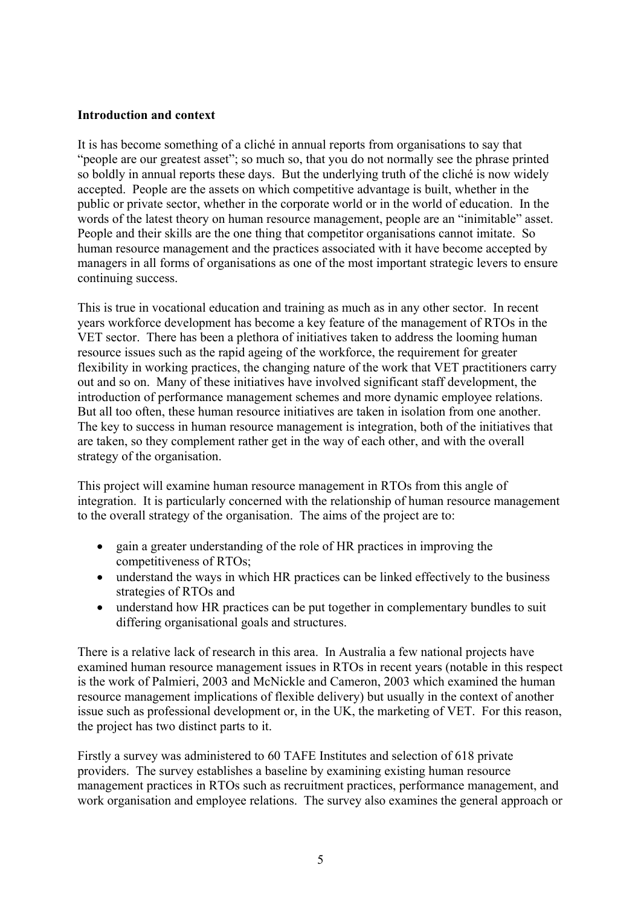#### **Introduction and context**

It is has become something of a cliché in annual reports from organisations to say that "people are our greatest asset"; so much so, that you do not normally see the phrase printed so boldly in annual reports these days. But the underlying truth of the cliché is now widely accepted. People are the assets on which competitive advantage is built, whether in the public or private sector, whether in the corporate world or in the world of education. In the words of the latest theory on human resource management, people are an "inimitable" asset. People and their skills are the one thing that competitor organisations cannot imitate. So human resource management and the practices associated with it have become accepted by managers in all forms of organisations as one of the most important strategic levers to ensure continuing success.

This is true in vocational education and training as much as in any other sector. In recent years workforce development has become a key feature of the management of RTOs in the VET sector. There has been a plethora of initiatives taken to address the looming human resource issues such as the rapid ageing of the workforce, the requirement for greater flexibility in working practices, the changing nature of the work that VET practitioners carry out and so on. Many of these initiatives have involved significant staff development, the introduction of performance management schemes and more dynamic employee relations. But all too often, these human resource initiatives are taken in isolation from one another. The key to success in human resource management is integration, both of the initiatives that are taken, so they complement rather get in the way of each other, and with the overall strategy of the organisation.

This project will examine human resource management in RTOs from this angle of integration. It is particularly concerned with the relationship of human resource management to the overall strategy of the organisation. The aims of the project are to:

- gain a greater understanding of the role of HR practices in improving the competitiveness of RTOs;
- understand the ways in which HR practices can be linked effectively to the business strategies of RTOs and
- understand how HR practices can be put together in complementary bundles to suit differing organisational goals and structures.

There is a relative lack of research in this area. In Australia a few national projects have examined human resource management issues in RTOs in recent years (notable in this respect is the work of Palmieri, 2003 and McNickle and Cameron, 2003 which examined the human resource management implications of flexible delivery) but usually in the context of another issue such as professional development or, in the UK, the marketing of VET. For this reason, the project has two distinct parts to it.

Firstly a survey was administered to 60 TAFE Institutes and selection of 618 private providers. The survey establishes a baseline by examining existing human resource management practices in RTOs such as recruitment practices, performance management, and work organisation and employee relations. The survey also examines the general approach or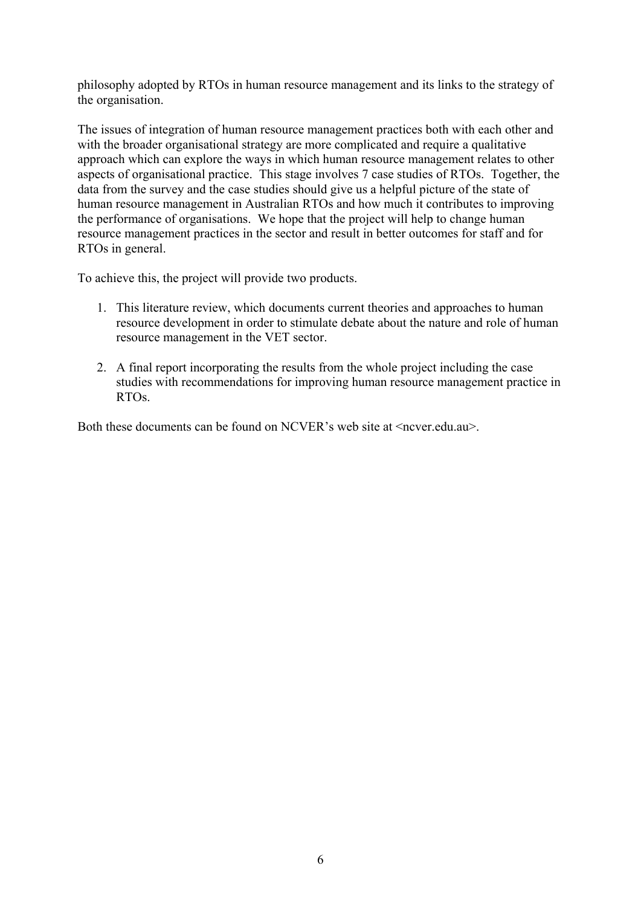philosophy adopted by RTOs in human resource management and its links to the strategy of the organisation.

The issues of integration of human resource management practices both with each other and with the broader organisational strategy are more complicated and require a qualitative approach which can explore the ways in which human resource management relates to other aspects of organisational practice. This stage involves 7 case studies of RTOs. Together, the data from the survey and the case studies should give us a helpful picture of the state of human resource management in Australian RTOs and how much it contributes to improving the performance of organisations. We hope that the project will help to change human resource management practices in the sector and result in better outcomes for staff and for RTOs in general.

To achieve this, the project will provide two products.

- 1. This literature review, which documents current theories and approaches to human resource development in order to stimulate debate about the nature and role of human resource management in the VET sector.
- 2. A final report incorporating the results from the whole project including the case studies with recommendations for improving human resource management practice in RTOs.

Both these documents can be found on NCVER's web site at  $\leq$ ncver.edu.au $\geq$ .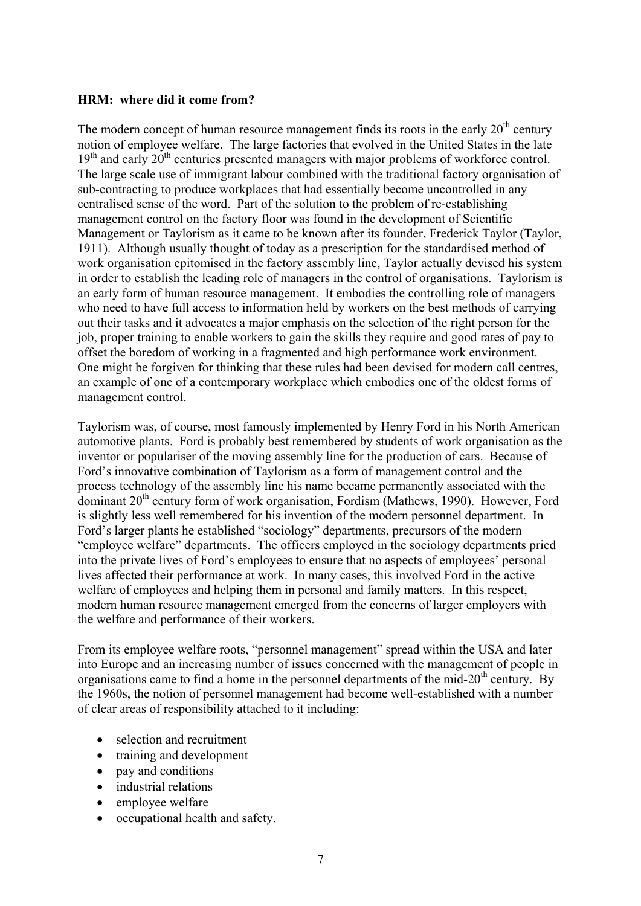#### **HRM: where did it come from?**

The modern concept of human resource management finds its roots in the early  $20<sup>th</sup>$  century notion of employee welfare. The large factories that evolved in the United States in the late  $19<sup>th</sup>$  and early  $20<sup>th</sup>$  centuries presented managers with major problems of workforce control. The large scale use of immigrant labour combined with the traditional factory organisation of sub-contracting to produce workplaces that had essentially become uncontrolled in any centralised sense of the word. Part of the solution to the problem of re-establishing management control on the factory floor was found in the development of Scientific Management or Taylorism as it came to be known after its founder, Frederick Taylor (Taylor, 1911). Although usually thought of today as a prescription for the standardised method of work organisation epitomised in the factory assembly line, Taylor actually devised his system in order to establish the leading role of managers in the control of organisations. Taylorism is an early form of human resource management. It embodies the controlling role of managers who need to have full access to information held by workers on the best methods of carrying out their tasks and it advocates a major emphasis on the selection of the right person for the job, proper training to enable workers to gain the skills they require and good rates of pay to offset the boredom of working in a fragmented and high performance work environment. One might be forgiven for thinking that these rules had been devised for modern call centres, an example of one of a contemporary workplace which embodies one of the oldest forms of management control.

Taylorism was, of course, most famously implemented by Henry Ford in his North American automotive plants. Ford is probably best remembered by students of work organisation as the inventor or populariser of the moving assembly line for the production of cars. Because of Ford's innovative combination of Taylorism as a form of management control and the process technology of the assembly line his name became permanently associated with the dominant 20<sup>th</sup> century form of work organisation, Fordism (Mathews, 1990). However, Ford is slightly less well remembered for his invention of the modern personnel department. In Ford's larger plants he established "sociology" departments, precursors of the modern "employee welfare" departments. The officers employed in the sociology departments pried into the private lives of Ford's employees to ensure that no aspects of employees' personal lives affected their performance at work. In many cases, this involved Ford in the active welfare of employees and helping them in personal and family matters. In this respect, modern human resource management emerged from the concerns of larger employers with the welfare and performance of their workers.

From its employee welfare roots, "personnel management" spread within the USA and later into Europe and an increasing number of issues concerned with the management of people in organisations came to find a home in the personnel departments of the mid- $20<sup>th</sup>$  century. By the 1960s, the notion of personnel management had become well-established with a number of clear areas of responsibility attached to it including:

- selection and recruitment
- training and development
- pay and conditions
- industrial relations
- employee welfare
- occupational health and safety.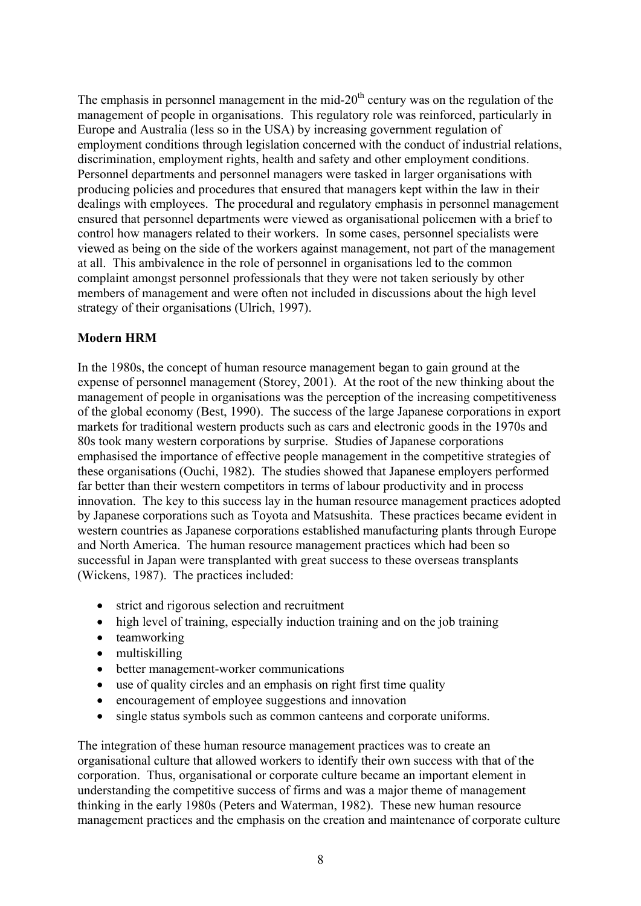The emphasis in personnel management in the mid- $20<sup>th</sup>$  century was on the regulation of the management of people in organisations. This regulatory role was reinforced, particularly in Europe and Australia (less so in the USA) by increasing government regulation of employment conditions through legislation concerned with the conduct of industrial relations, discrimination, employment rights, health and safety and other employment conditions. Personnel departments and personnel managers were tasked in larger organisations with producing policies and procedures that ensured that managers kept within the law in their dealings with employees. The procedural and regulatory emphasis in personnel management ensured that personnel departments were viewed as organisational policemen with a brief to control how managers related to their workers. In some cases, personnel specialists were viewed as being on the side of the workers against management, not part of the management at all. This ambivalence in the role of personnel in organisations led to the common complaint amongst personnel professionals that they were not taken seriously by other members of management and were often not included in discussions about the high level strategy of their organisations (Ulrich, 1997).

## **Modern HRM**

In the 1980s, the concept of human resource management began to gain ground at the expense of personnel management (Storey, 2001). At the root of the new thinking about the management of people in organisations was the perception of the increasing competitiveness of the global economy (Best, 1990). The success of the large Japanese corporations in export markets for traditional western products such as cars and electronic goods in the 1970s and 80s took many western corporations by surprise. Studies of Japanese corporations emphasised the importance of effective people management in the competitive strategies of these organisations (Ouchi, 1982). The studies showed that Japanese employers performed far better than their western competitors in terms of labour productivity and in process innovation. The key to this success lay in the human resource management practices adopted by Japanese corporations such as Toyota and Matsushita. These practices became evident in western countries as Japanese corporations established manufacturing plants through Europe and North America. The human resource management practices which had been so successful in Japan were transplanted with great success to these overseas transplants (Wickens, 1987). The practices included:

- strict and rigorous selection and recruitment
- high level of training, especially induction training and on the job training
- teamworking
- multiskilling
- better management-worker communications
- use of quality circles and an emphasis on right first time quality
- encouragement of employee suggestions and innovation
- single status symbols such as common canteens and corporate uniforms.

The integration of these human resource management practices was to create an organisational culture that allowed workers to identify their own success with that of the corporation. Thus, organisational or corporate culture became an important element in understanding the competitive success of firms and was a major theme of management thinking in the early 1980s (Peters and Waterman, 1982). These new human resource management practices and the emphasis on the creation and maintenance of corporate culture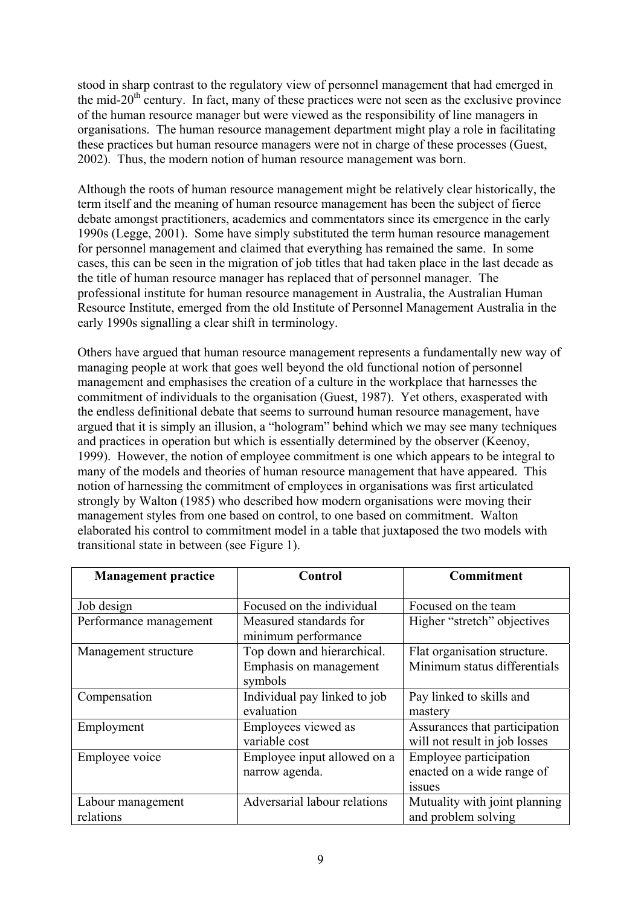stood in sharp contrast to the regulatory view of personnel management that had emerged in the mid-20<sup>th</sup> century. In fact, many of these practices were not seen as the exclusive province of the human resource manager but were viewed as the responsibility of line managers in organisations. The human resource management department might play a role in facilitating these practices but human resource managers were not in charge of these processes (Guest, 2002). Thus, the modern notion of human resource management was born.

Although the roots of human resource management might be relatively clear historically, the term itself and the meaning of human resource management has been the subject of fierce debate amongst practitioners, academics and commentators since its emergence in the early 1990s (Legge, 2001). Some have simply substituted the term human resource management for personnel management and claimed that everything has remained the same. In some cases, this can be seen in the migration of job titles that had taken place in the last decade as the title of human resource manager has replaced that of personnel manager. The professional institute for human resource management in Australia, the Australian Human Resource Institute, emerged from the old Institute of Personnel Management Australia in the early 1990s signalling a clear shift in terminology.

Others have argued that human resource management represents a fundamentally new way of managing people at work that goes well beyond the old functional notion of personnel management and emphasises the creation of a culture in the workplace that harnesses the commitment of individuals to the organisation (Guest, 1987). Yet others, exasperated with the endless definitional debate that seems to surround human resource management, have argued that it is simply an illusion, a "hologram" behind which we may see many techniques and practices in operation but which is essentially determined by the observer (Keenoy, 1999). However, the notion of employee commitment is one which appears to be integral to many of the models and theories of human resource management that have appeared. This notion of harnessing the commitment of employees in organisations was first articulated strongly by Walton (1985) who described how modern organisations were moving their management styles from one based on control, to one based on commitment. Walton elaborated his control to commitment model in a table that juxtaposed the two models with transitional state in between (see Figure 1).

| <b>Management practice</b> | <b>Control</b>               | Commitment                    |  |
|----------------------------|------------------------------|-------------------------------|--|
| Job design                 | Focused on the individual    | Focused on the team           |  |
| Performance management     | Measured standards for       | Higher "stretch" objectives   |  |
|                            | minimum performance          |                               |  |
| Management structure       | Top down and hierarchical.   | Flat organisation structure.  |  |
|                            | Emphasis on management       | Minimum status differentials  |  |
|                            | symbols                      |                               |  |
| Compensation               | Individual pay linked to job | Pay linked to skills and      |  |
|                            | evaluation                   | mastery                       |  |
| Employment                 | Employees viewed as          | Assurances that participation |  |
|                            | variable cost                | will not result in job losses |  |
| Employee voice             | Employee input allowed on a  | Employee participation        |  |
|                            | narrow agenda.               | enacted on a wide range of    |  |
|                            |                              | <i>ssues</i>                  |  |
| Labour management          | Adversarial labour relations | Mutuality with joint planning |  |
| relations                  |                              | and problem solving           |  |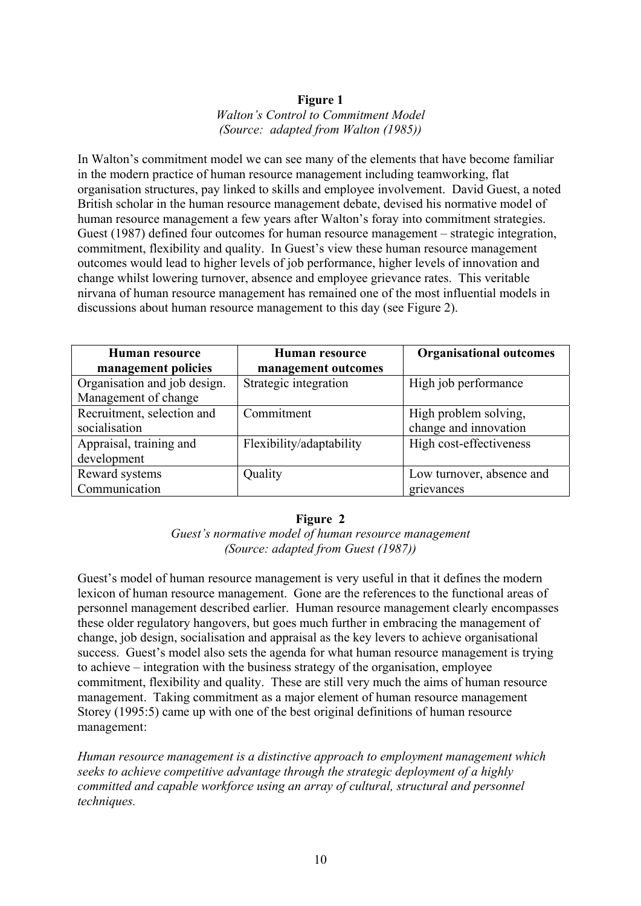#### **Figure 1**  *Walton's Control to Commitment Model (Source: adapted from Walton (1985))*

In Walton's commitment model we can see many of the elements that have become familiar in the modern practice of human resource management including teamworking, flat organisation structures, pay linked to skills and employee involvement. David Guest, a noted British scholar in the human resource management debate, devised his normative model of human resource management a few years after Walton's foray into commitment strategies. Guest (1987) defined four outcomes for human resource management – strategic integration, commitment, flexibility and quality. In Guest's view these human resource management outcomes would lead to higher levels of job performance, higher levels of innovation and change whilst lowering turnover, absence and employee grievance rates. This veritable nirvana of human resource management has remained one of the most influential models in discussions about human resource management to this day (see Figure 2).

| Human resource               | Human resource           | <b>Organisational outcomes</b> |  |
|------------------------------|--------------------------|--------------------------------|--|
| management policies          | management outcomes      |                                |  |
| Organisation and job design. | Strategic integration    | High job performance           |  |
| Management of change         |                          |                                |  |
| Recruitment, selection and   | Commitment               | High problem solving,          |  |
| socialisation                |                          | change and innovation          |  |
| Appraisal, training and      | Flexibility/adaptability | High cost-effectiveness        |  |
| development                  |                          |                                |  |
| Reward systems               | Quality                  | Low turnover, absence and      |  |
| Communication                |                          | grievances                     |  |

#### **Figure 2**

*Guest's normative model of human resource management (Source: adapted from Guest (1987))* 

Guest's model of human resource management is very useful in that it defines the modern lexicon of human resource management. Gone are the references to the functional areas of personnel management described earlier. Human resource management clearly encompasses these older regulatory hangovers, but goes much further in embracing the management of change, job design, socialisation and appraisal as the key levers to achieve organisational success. Guest's model also sets the agenda for what human resource management is trying to achieve – integration with the business strategy of the organisation, employee commitment, flexibility and quality. These are still very much the aims of human resource management. Taking commitment as a major element of human resource management Storey (1995:5) came up with one of the best original definitions of human resource management:

*Human resource management is a distinctive approach to employment management which seeks to achieve competitive advantage through the strategic deployment of a highly committed and capable workforce using an array of cultural, structural and personnel techniques.*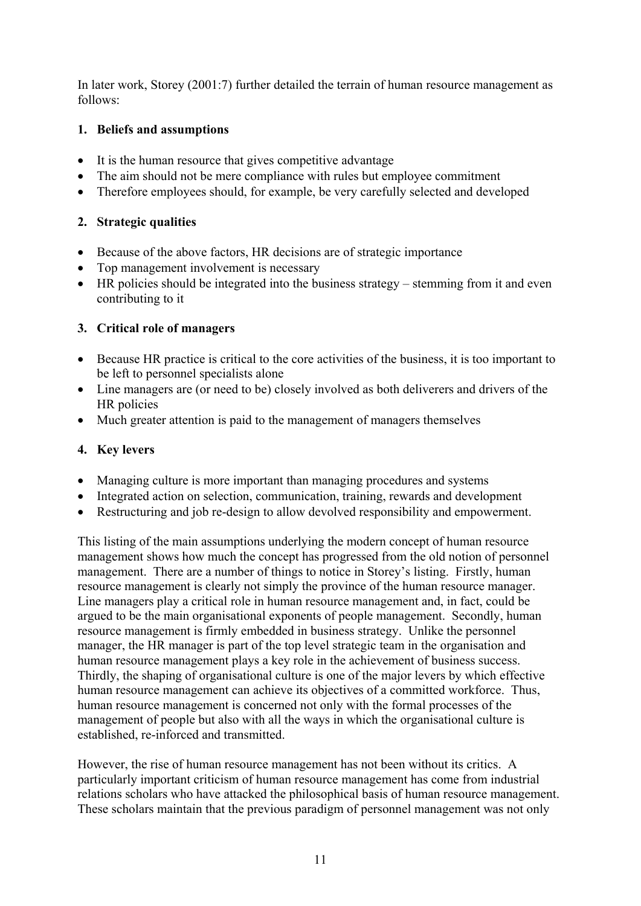In later work, Storey (2001:7) further detailed the terrain of human resource management as follows:

# **1. Beliefs and assumptions**

- It is the human resource that gives competitive advantage
- The aim should not be mere compliance with rules but employee commitment
- Therefore employees should, for example, be very carefully selected and developed

## **2. Strategic qualities**

- Because of the above factors, HR decisions are of strategic importance
- Top management involvement is necessary
- HR policies should be integrated into the business strategy stemming from it and even contributing to it

# **3. Critical role of managers**

- Because HR practice is critical to the core activities of the business, it is too important to be left to personnel specialists alone
- Line managers are (or need to be) closely involved as both deliverers and drivers of the HR policies
- Much greater attention is paid to the management of managers themselves

# **4. Key levers**

- Managing culture is more important than managing procedures and systems
- Integrated action on selection, communication, training, rewards and development
- Restructuring and job re-design to allow devolved responsibility and empowerment.

This listing of the main assumptions underlying the modern concept of human resource management shows how much the concept has progressed from the old notion of personnel management. There are a number of things to notice in Storey's listing. Firstly, human resource management is clearly not simply the province of the human resource manager. Line managers play a critical role in human resource management and, in fact, could be argued to be the main organisational exponents of people management. Secondly, human resource management is firmly embedded in business strategy. Unlike the personnel manager, the HR manager is part of the top level strategic team in the organisation and human resource management plays a key role in the achievement of business success. Thirdly, the shaping of organisational culture is one of the major levers by which effective human resource management can achieve its objectives of a committed workforce. Thus, human resource management is concerned not only with the formal processes of the management of people but also with all the ways in which the organisational culture is established, re-inforced and transmitted.

However, the rise of human resource management has not been without its critics. A particularly important criticism of human resource management has come from industrial relations scholars who have attacked the philosophical basis of human resource management. These scholars maintain that the previous paradigm of personnel management was not only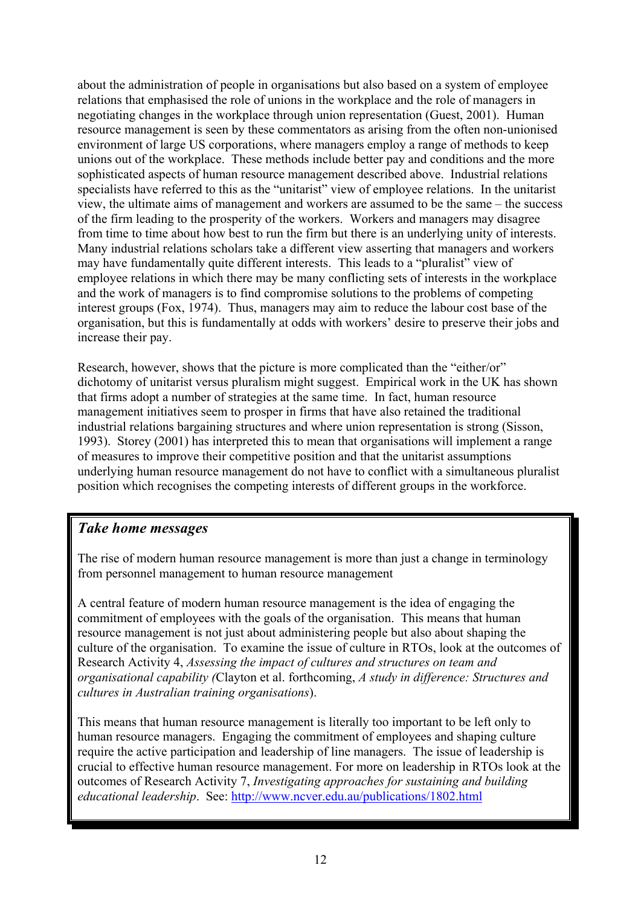about the administration of people in organisations but also based on a system of employee relations that emphasised the role of unions in the workplace and the role of managers in negotiating changes in the workplace through union representation (Guest, 2001). Human resource management is seen by these commentators as arising from the often non-unionised environment of large US corporations, where managers employ a range of methods to keep unions out of the workplace. These methods include better pay and conditions and the more sophisticated aspects of human resource management described above. Industrial relations specialists have referred to this as the "unitarist" view of employee relations. In the unitarist view, the ultimate aims of management and workers are assumed to be the same – the success of the firm leading to the prosperity of the workers. Workers and managers may disagree from time to time about how best to run the firm but there is an underlying unity of interests. Many industrial relations scholars take a different view asserting that managers and workers may have fundamentally quite different interests. This leads to a "pluralist" view of employee relations in which there may be many conflicting sets of interests in the workplace and the work of managers is to find compromise solutions to the problems of competing interest groups (Fox, 1974). Thus, managers may aim to reduce the labour cost base of the organisation, but this is fundamentally at odds with workers' desire to preserve their jobs and increase their pay.

Research, however, shows that the picture is more complicated than the "either/or" dichotomy of unitarist versus pluralism might suggest. Empirical work in the UK has shown that firms adopt a number of strategies at the same time. In fact, human resource management initiatives seem to prosper in firms that have also retained the traditional industrial relations bargaining structures and where union representation is strong (Sisson, 1993). Storey (2001) has interpreted this to mean that organisations will implement a range of measures to improve their competitive position and that the unitarist assumptions underlying human resource management do not have to conflict with a simultaneous pluralist position which recognises the competing interests of different groups in the workforce.

# *Take home messages*

The rise of modern human resource management is more than just a change in terminology from personnel management to human resource management

A central feature of modern human resource management is the idea of engaging the commitment of employees with the goals of the organisation. This means that human resource management is not just about administering people but also about shaping the culture of the organisation. To examine the issue of culture in RTOs, look at the outcomes of Research Activity 4, *Assessing the impact of cultures and structures on team and organisational capability (*Clayton et al. forthcoming, *A study in difference: Structures and cultures in Australian training organisations*).

This means that human resource management is literally too important to be left only to human resource managers. Engaging the commitment of employees and shaping culture require the active participation and leadership of line managers. The issue of leadership is crucial to effective human resource management. For more on leadership in RTOs look at the outcomes of Research Activity 7, *Investigating approaches for sustaining and building educational leadership*. See: <http://www.ncver.edu.au/publications/1802.html>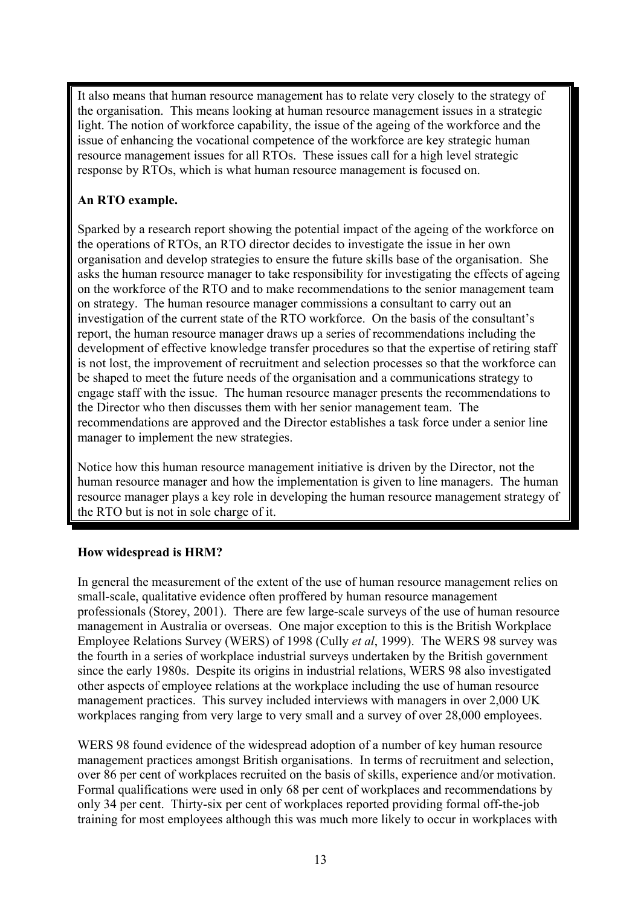It also means that human resource management has to relate very closely to the strategy of the organisation. This means looking at human resource management issues in a strategic light. The notion of workforce capability, the issue of the ageing of the workforce and the issue of enhancing the vocational competence of the workforce are key strategic human resource management issues for all RTOs. These issues call for a high level strategic response by RTOs, which is what human resource management is focused on.

# **An RTO example.**

Sparked by a research report showing the potential impact of the ageing of the workforce on the operations of RTOs, an RTO director decides to investigate the issue in her own organisation and develop strategies to ensure the future skills base of the organisation. She asks the human resource manager to take responsibility for investigating the effects of ageing on the workforce of the RTO and to make recommendations to the senior management team on strategy. The human resource manager commissions a consultant to carry out an investigation of the current state of the RTO workforce. On the basis of the consultant's report, the human resource manager draws up a series of recommendations including the development of effective knowledge transfer procedures so that the expertise of retiring staff is not lost, the improvement of recruitment and selection processes so that the workforce can be shaped to meet the future needs of the organisation and a communications strategy to engage staff with the issue. The human resource manager presents the recommendations to the Director who then discusses them with her senior management team. The recommendations are approved and the Director establishes a task force under a senior line manager to implement the new strategies.

Notice how this human resource management initiative is driven by the Director, not the human resource manager and how the implementation is given to line managers. The human resource manager plays a key role in developing the human resource management strategy of the RTO but is not in sole charge of it.

# **How widespread is HRM?**

In general the measurement of the extent of the use of human resource management relies on small-scale, qualitative evidence often proffered by human resource management professionals (Storey, 2001). There are few large-scale surveys of the use of human resource management in Australia or overseas. One major exception to this is the British Workplace Employee Relations Survey (WERS) of 1998 (Cully *et al*, 1999). The WERS 98 survey was the fourth in a series of workplace industrial surveys undertaken by the British government since the early 1980s. Despite its origins in industrial relations, WERS 98 also investigated other aspects of employee relations at the workplace including the use of human resource management practices. This survey included interviews with managers in over 2,000 UK workplaces ranging from very large to very small and a survey of over 28,000 employees.

WERS 98 found evidence of the widespread adoption of a number of key human resource management practices amongst British organisations. In terms of recruitment and selection, over 86 per cent of workplaces recruited on the basis of skills, experience and/or motivation. Formal qualifications were used in only 68 per cent of workplaces and recommendations by only 34 per cent. Thirty-six per cent of workplaces reported providing formal off-the-job training for most employees although this was much more likely to occur in workplaces with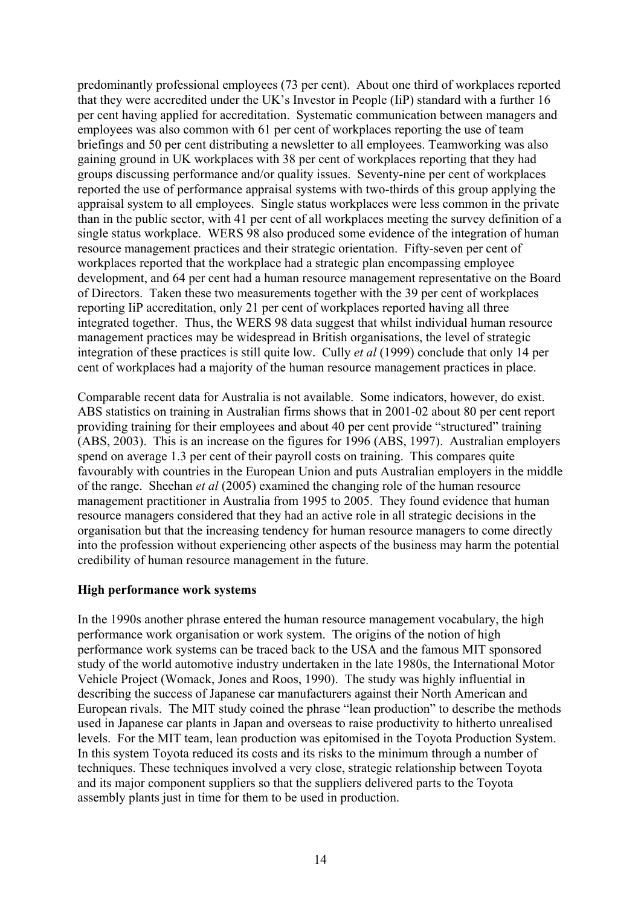predominantly professional employees (73 per cent). About one third of workplaces reported that they were accredited under the UK's Investor in People (IiP) standard with a further 16 per cent having applied for accreditation. Systematic communication between managers and employees was also common with 61 per cent of workplaces reporting the use of team briefings and 50 per cent distributing a newsletter to all employees. Teamworking was also gaining ground in UK workplaces with 38 per cent of workplaces reporting that they had groups discussing performance and/or quality issues. Seventy-nine per cent of workplaces reported the use of performance appraisal systems with two-thirds of this group applying the appraisal system to all employees. Single status workplaces were less common in the private than in the public sector, with 41 per cent of all workplaces meeting the survey definition of a single status workplace. WERS 98 also produced some evidence of the integration of human resource management practices and their strategic orientation. Fifty-seven per cent of workplaces reported that the workplace had a strategic plan encompassing employee development, and 64 per cent had a human resource management representative on the Board of Directors. Taken these two measurements together with the 39 per cent of workplaces reporting IiP accreditation, only 21 per cent of workplaces reported having all three integrated together. Thus, the WERS 98 data suggest that whilst individual human resource management practices may be widespread in British organisations, the level of strategic integration of these practices is still quite low. Cully *et al* (1999) conclude that only 14 per cent of workplaces had a majority of the human resource management practices in place.

Comparable recent data for Australia is not available. Some indicators, however, do exist. ABS statistics on training in Australian firms shows that in 2001-02 about 80 per cent report providing training for their employees and about 40 per cent provide "structured" training (ABS, 2003). This is an increase on the figures for 1996 (ABS, 1997). Australian employers spend on average 1.3 per cent of their payroll costs on training. This compares quite favourably with countries in the European Union and puts Australian employers in the middle of the range. Sheehan *et al* (2005) examined the changing role of the human resource management practitioner in Australia from 1995 to 2005. They found evidence that human resource managers considered that they had an active role in all strategic decisions in the organisation but that the increasing tendency for human resource managers to come directly into the profession without experiencing other aspects of the business may harm the potential credibility of human resource management in the future.

#### **High performance work systems**

In the 1990s another phrase entered the human resource management vocabulary, the high performance work organisation or work system. The origins of the notion of high performance work systems can be traced back to the USA and the famous MIT sponsored study of the world automotive industry undertaken in the late 1980s, the International Motor Vehicle Project (Womack, Jones and Roos, 1990). The study was highly influential in describing the success of Japanese car manufacturers against their North American and European rivals. The MIT study coined the phrase "lean production" to describe the methods used in Japanese car plants in Japan and overseas to raise productivity to hitherto unrealised levels. For the MIT team, lean production was epitomised in the Toyota Production System. In this system Toyota reduced its costs and its risks to the minimum through a number of techniques. These techniques involved a very close, strategic relationship between Toyota and its major component suppliers so that the suppliers delivered parts to the Toyota assembly plants just in time for them to be used in production.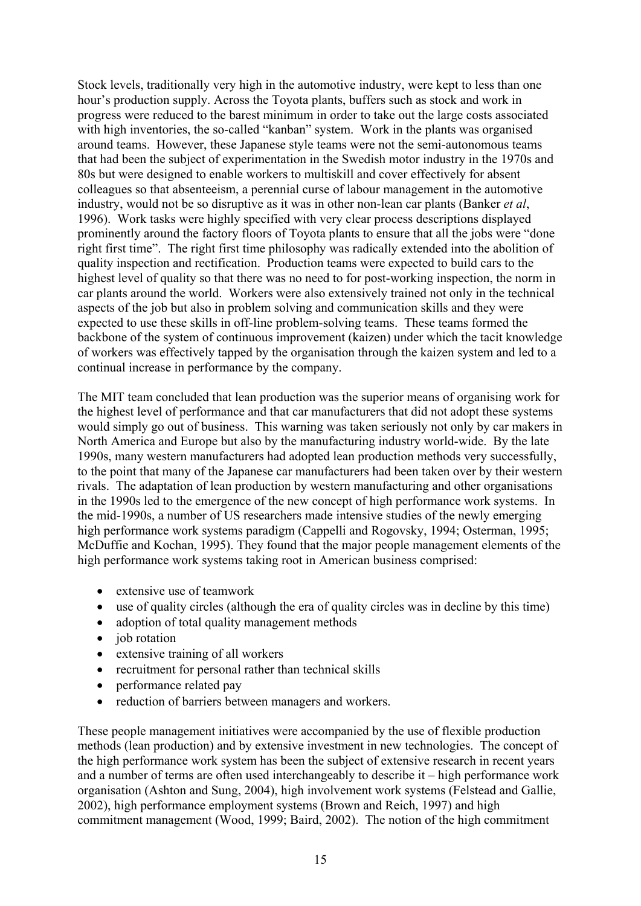Stock levels, traditionally very high in the automotive industry, were kept to less than one hour's production supply. Across the Toyota plants, buffers such as stock and work in progress were reduced to the barest minimum in order to take out the large costs associated with high inventories, the so-called "kanban" system. Work in the plants was organised around teams. However, these Japanese style teams were not the semi-autonomous teams that had been the subject of experimentation in the Swedish motor industry in the 1970s and 80s but were designed to enable workers to multiskill and cover effectively for absent colleagues so that absenteeism, a perennial curse of labour management in the automotive industry, would not be so disruptive as it was in other non-lean car plants (Banker *et al*, 1996). Work tasks were highly specified with very clear process descriptions displayed prominently around the factory floors of Toyota plants to ensure that all the jobs were "done right first time". The right first time philosophy was radically extended into the abolition of quality inspection and rectification. Production teams were expected to build cars to the highest level of quality so that there was no need to for post-working inspection, the norm in car plants around the world. Workers were also extensively trained not only in the technical aspects of the job but also in problem solving and communication skills and they were expected to use these skills in off-line problem-solving teams. These teams formed the backbone of the system of continuous improvement (kaizen) under which the tacit knowledge of workers was effectively tapped by the organisation through the kaizen system and led to a continual increase in performance by the company.

The MIT team concluded that lean production was the superior means of organising work for the highest level of performance and that car manufacturers that did not adopt these systems would simply go out of business. This warning was taken seriously not only by car makers in North America and Europe but also by the manufacturing industry world-wide. By the late 1990s, many western manufacturers had adopted lean production methods very successfully, to the point that many of the Japanese car manufacturers had been taken over by their western rivals. The adaptation of lean production by western manufacturing and other organisations in the 1990s led to the emergence of the new concept of high performance work systems. In the mid-1990s, a number of US researchers made intensive studies of the newly emerging high performance work systems paradigm (Cappelli and Rogovsky, 1994; Osterman, 1995; McDuffie and Kochan, 1995). They found that the major people management elements of the high performance work systems taking root in American business comprised:

- extensive use of teamwork
- use of quality circles (although the era of quality circles was in decline by this time)
- adoption of total quality management methods
- job rotation
- extensive training of all workers
- recruitment for personal rather than technical skills
- performance related pay
- reduction of barriers between managers and workers.

These people management initiatives were accompanied by the use of flexible production methods (lean production) and by extensive investment in new technologies. The concept of the high performance work system has been the subject of extensive research in recent years and a number of terms are often used interchangeably to describe it – high performance work organisation (Ashton and Sung, 2004), high involvement work systems (Felstead and Gallie, 2002), high performance employment systems (Brown and Reich, 1997) and high commitment management (Wood, 1999; Baird, 2002). The notion of the high commitment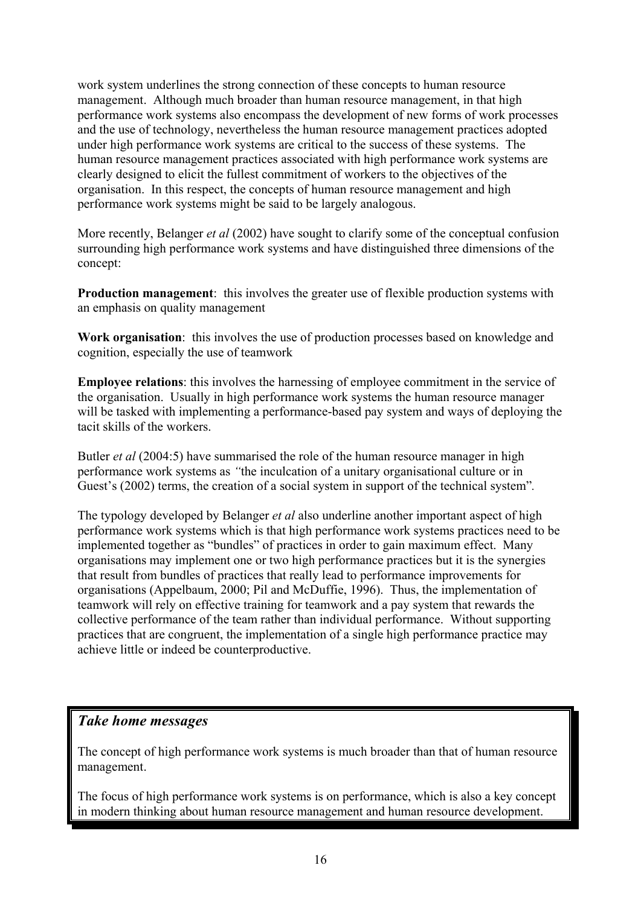work system underlines the strong connection of these concepts to human resource management. Although much broader than human resource management, in that high performance work systems also encompass the development of new forms of work processes and the use of technology, nevertheless the human resource management practices adopted under high performance work systems are critical to the success of these systems. The human resource management practices associated with high performance work systems are clearly designed to elicit the fullest commitment of workers to the objectives of the organisation. In this respect, the concepts of human resource management and high performance work systems might be said to be largely analogous.

More recently, Belanger *et al* (2002) have sought to clarify some of the conceptual confusion surrounding high performance work systems and have distinguished three dimensions of the concept:

**Production management**: this involves the greater use of flexible production systems with an emphasis on quality management

**Work organisation**: this involves the use of production processes based on knowledge and cognition, especially the use of teamwork

**Employee relations**: this involves the harnessing of employee commitment in the service of the organisation. Usually in high performance work systems the human resource manager will be tasked with implementing a performance-based pay system and ways of deploying the tacit skills of the workers.

Butler *et al* (2004:5) have summarised the role of the human resource manager in high performance work systems as *"*the inculcation of a unitary organisational culture or in Guest's (2002) terms, the creation of a social system in support of the technical system"*.* 

The typology developed by Belanger *et al* also underline another important aspect of high performance work systems which is that high performance work systems practices need to be implemented together as "bundles" of practices in order to gain maximum effect. Many organisations may implement one or two high performance practices but it is the synergies that result from bundles of practices that really lead to performance improvements for organisations (Appelbaum, 2000; Pil and McDuffie, 1996). Thus, the implementation of teamwork will rely on effective training for teamwork and a pay system that rewards the collective performance of the team rather than individual performance. Without supporting practices that are congruent, the implementation of a single high performance practice may achieve little or indeed be counterproductive.

# *Take home messages*

The concept of high performance work systems is much broader than that of human resource management.

The focus of high performance work systems is on performance, which is also a key concept in modern thinking about human resource management and human resource development.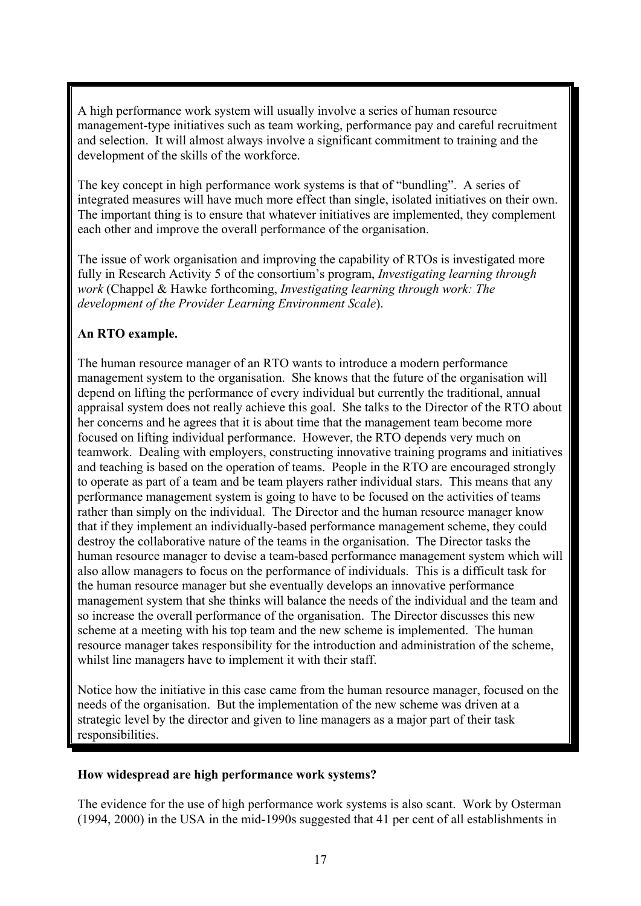A high performance work system will usually involve a series of human resource management-type initiatives such as team working, performance pay and careful recruitment and selection. It will almost always involve a significant commitment to training and the development of the skills of the workforce.

The key concept in high performance work systems is that of "bundling". A series of integrated measures will have much more effect than single, isolated initiatives on their own. The important thing is to ensure that whatever initiatives are implemented, they complement each other and improve the overall performance of the organisation.

The issue of work organisation and improving the capability of RTOs is investigated more fully in Research Activity 5 of the consortium's program, *Investigating learning through work* (Chappel & Hawke forthcoming, *Investigating learning through work: The development of the Provider Learning Environment Scale*).

# **An RTO example.**

The human resource manager of an RTO wants to introduce a modern performance management system to the organisation. She knows that the future of the organisation will depend on lifting the performance of every individual but currently the traditional, annual appraisal system does not really achieve this goal. She talks to the Director of the RTO about her concerns and he agrees that it is about time that the management team become more focused on lifting individual performance. However, the RTO depends very much on teamwork. Dealing with employers, constructing innovative training programs and initiatives and teaching is based on the operation of teams. People in the RTO are encouraged strongly to operate as part of a team and be team players rather individual stars. This means that any performance management system is going to have to be focused on the activities of teams rather than simply on the individual. The Director and the human resource manager know that if they implement an individually-based performance management scheme, they could destroy the collaborative nature of the teams in the organisation. The Director tasks the human resource manager to devise a team-based performance management system which will also allow managers to focus on the performance of individuals. This is a difficult task for the human resource manager but she eventually develops an innovative performance management system that she thinks will balance the needs of the individual and the team and so increase the overall performance of the organisation. The Director discusses this new scheme at a meeting with his top team and the new scheme is implemented. The human resource manager takes responsibility for the introduction and administration of the scheme, whilst line managers have to implement it with their staff.

Notice how the initiative in this case came from the human resource manager, focused on the needs of the organisation. But the implementation of the new scheme was driven at a strategic level by the director and given to line managers as a major part of their task responsibilities.

#### **How widespread are high performance work systems?**

The evidence for the use of high performance work systems is also scant. Work by Osterman (1994, 2000) in the USA in the mid-1990s suggested that 41 per cent of all establishments in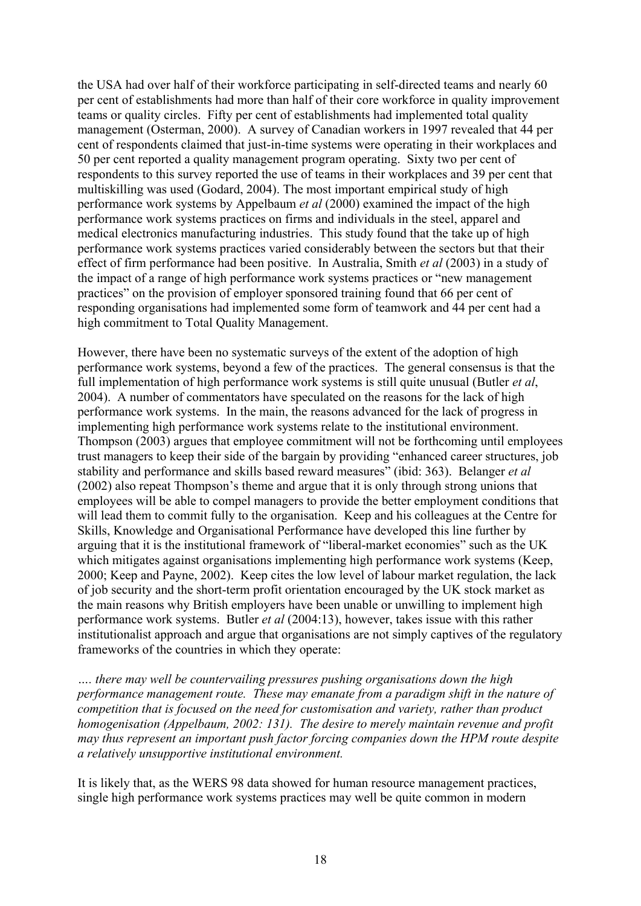the USA had over half of their workforce participating in self-directed teams and nearly 60 per cent of establishments had more than half of their core workforce in quality improvement teams or quality circles. Fifty per cent of establishments had implemented total quality management (Osterman, 2000). A survey of Canadian workers in 1997 revealed that 44 per cent of respondents claimed that just-in-time systems were operating in their workplaces and 50 per cent reported a quality management program operating. Sixty two per cent of respondents to this survey reported the use of teams in their workplaces and 39 per cent that multiskilling was used (Godard, 2004). The most important empirical study of high performance work systems by Appelbaum *et al* (2000) examined the impact of the high performance work systems practices on firms and individuals in the steel, apparel and medical electronics manufacturing industries. This study found that the take up of high performance work systems practices varied considerably between the sectors but that their effect of firm performance had been positive. In Australia, Smith *et al* (2003) in a study of the impact of a range of high performance work systems practices or "new management practices" on the provision of employer sponsored training found that 66 per cent of responding organisations had implemented some form of teamwork and 44 per cent had a high commitment to Total Quality Management.

However, there have been no systematic surveys of the extent of the adoption of high performance work systems, beyond a few of the practices. The general consensus is that the full implementation of high performance work systems is still quite unusual (Butler *et al*, 2004). A number of commentators have speculated on the reasons for the lack of high performance work systems. In the main, the reasons advanced for the lack of progress in implementing high performance work systems relate to the institutional environment. Thompson (2003) argues that employee commitment will not be forthcoming until employees trust managers to keep their side of the bargain by providing "enhanced career structures, job stability and performance and skills based reward measures" (ibid: 363). Belanger *et al* (2002) also repeat Thompson's theme and argue that it is only through strong unions that employees will be able to compel managers to provide the better employment conditions that will lead them to commit fully to the organisation. Keep and his colleagues at the Centre for Skills, Knowledge and Organisational Performance have developed this line further by arguing that it is the institutional framework of "liberal-market economies" such as the UK which mitigates against organisations implementing high performance work systems (Keep, 2000; Keep and Payne, 2002). Keep cites the low level of labour market regulation, the lack of job security and the short-term profit orientation encouraged by the UK stock market as the main reasons why British employers have been unable or unwilling to implement high performance work systems. Butler *et al* (2004:13), however, takes issue with this rather institutionalist approach and argue that organisations are not simply captives of the regulatory frameworks of the countries in which they operate:

*…. there may well be countervailing pressures pushing organisations down the high performance management route. These may emanate from a paradigm shift in the nature of competition that is focused on the need for customisation and variety, rather than product homogenisation (Appelbaum, 2002: 131). The desire to merely maintain revenue and profit may thus represent an important push factor forcing companies down the HPM route despite a relatively unsupportive institutional environment.* 

It is likely that, as the WERS 98 data showed for human resource management practices, single high performance work systems practices may well be quite common in modern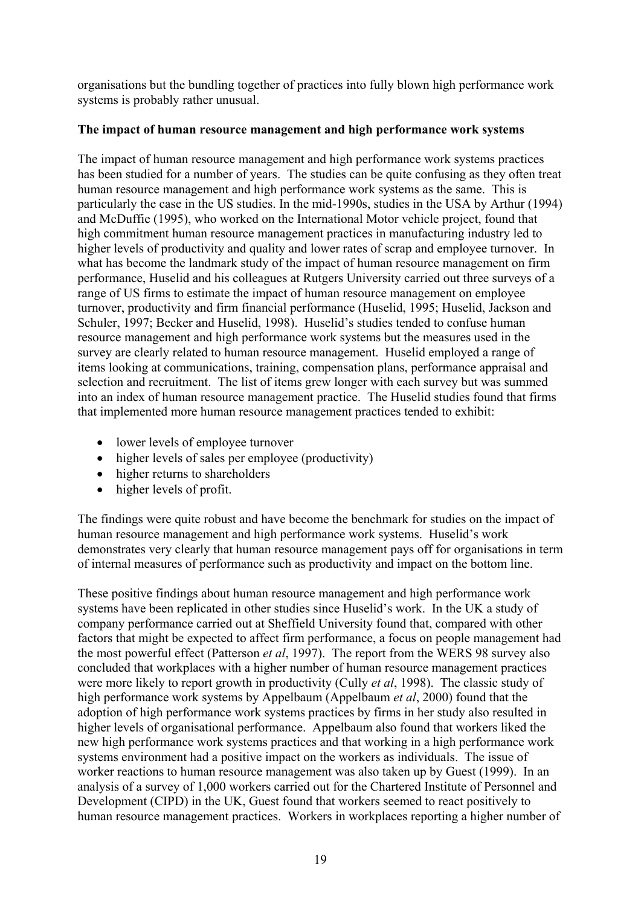organisations but the bundling together of practices into fully blown high performance work systems is probably rather unusual.

#### **The impact of human resource management and high performance work systems**

The impact of human resource management and high performance work systems practices has been studied for a number of years. The studies can be quite confusing as they often treat human resource management and high performance work systems as the same. This is particularly the case in the US studies. In the mid-1990s, studies in the USA by Arthur (1994) and McDuffie (1995), who worked on the International Motor vehicle project, found that high commitment human resource management practices in manufacturing industry led to higher levels of productivity and quality and lower rates of scrap and employee turnover. In what has become the landmark study of the impact of human resource management on firm performance, Huselid and his colleagues at Rutgers University carried out three surveys of a range of US firms to estimate the impact of human resource management on employee turnover, productivity and firm financial performance (Huselid, 1995; Huselid, Jackson and Schuler, 1997; Becker and Huselid, 1998). Huselid's studies tended to confuse human resource management and high performance work systems but the measures used in the survey are clearly related to human resource management. Huselid employed a range of items looking at communications, training, compensation plans, performance appraisal and selection and recruitment. The list of items grew longer with each survey but was summed into an index of human resource management practice. The Huselid studies found that firms that implemented more human resource management practices tended to exhibit:

- lower levels of employee turnover
- higher levels of sales per employee (productivity)
- higher returns to shareholders
- higher levels of profit.

The findings were quite robust and have become the benchmark for studies on the impact of human resource management and high performance work systems. Huselid's work demonstrates very clearly that human resource management pays off for organisations in term of internal measures of performance such as productivity and impact on the bottom line.

These positive findings about human resource management and high performance work systems have been replicated in other studies since Huselid's work. In the UK a study of company performance carried out at Sheffield University found that, compared with other factors that might be expected to affect firm performance, a focus on people management had the most powerful effect (Patterson *et al*, 1997). The report from the WERS 98 survey also concluded that workplaces with a higher number of human resource management practices were more likely to report growth in productivity (Cully *et al*, 1998). The classic study of high performance work systems by Appelbaum (Appelbaum *et al*, 2000) found that the adoption of high performance work systems practices by firms in her study also resulted in higher levels of organisational performance. Appelbaum also found that workers liked the new high performance work systems practices and that working in a high performance work systems environment had a positive impact on the workers as individuals. The issue of worker reactions to human resource management was also taken up by Guest (1999). In an analysis of a survey of 1,000 workers carried out for the Chartered Institute of Personnel and Development (CIPD) in the UK, Guest found that workers seemed to react positively to human resource management practices. Workers in workplaces reporting a higher number of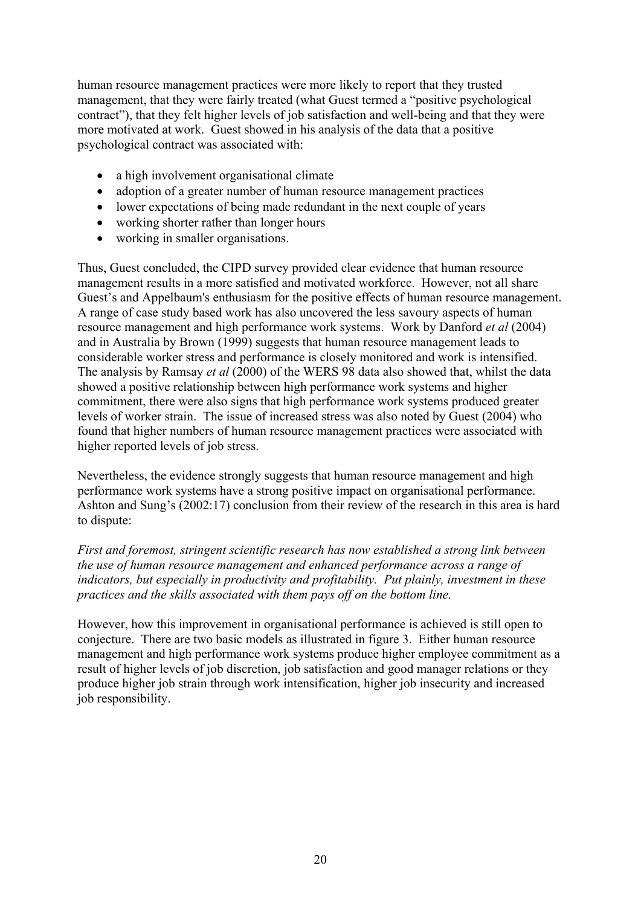human resource management practices were more likely to report that they trusted management, that they were fairly treated (what Guest termed a "positive psychological contract"), that they felt higher levels of job satisfaction and well-being and that they were more motivated at work. Guest showed in his analysis of the data that a positive psychological contract was associated with:

- a high involvement organisational climate
- adoption of a greater number of human resource management practices
- lower expectations of being made redundant in the next couple of years
- working shorter rather than longer hours
- working in smaller organisations.

Thus, Guest concluded, the CIPD survey provided clear evidence that human resource management results in a more satisfied and motivated workforce. However, not all share Guest's and Appelbaum's enthusiasm for the positive effects of human resource management. A range of case study based work has also uncovered the less savoury aspects of human resource management and high performance work systems. Work by Danford *et al* (2004) and in Australia by Brown (1999) suggests that human resource management leads to considerable worker stress and performance is closely monitored and work is intensified. The analysis by Ramsay *et al* (2000) of the WERS 98 data also showed that, whilst the data showed a positive relationship between high performance work systems and higher commitment, there were also signs that high performance work systems produced greater levels of worker strain. The issue of increased stress was also noted by Guest (2004) who found that higher numbers of human resource management practices were associated with higher reported levels of job stress.

Nevertheless, the evidence strongly suggests that human resource management and high performance work systems have a strong positive impact on organisational performance. Ashton and Sung's (2002:17) conclusion from their review of the research in this area is hard to dispute:

*First and foremost, stringent scientific research has now established a strong link between the use of human resource management and enhanced performance across a range of indicators, but especially in productivity and profitability. Put plainly, investment in these practices and the skills associated with them pays off on the bottom line.* 

However, how this improvement in organisational performance is achieved is still open to conjecture. There are two basic models as illustrated in figure 3. Either human resource management and high performance work systems produce higher employee commitment as a result of higher levels of job discretion, job satisfaction and good manager relations or they produce higher job strain through work intensification, higher job insecurity and increased job responsibility.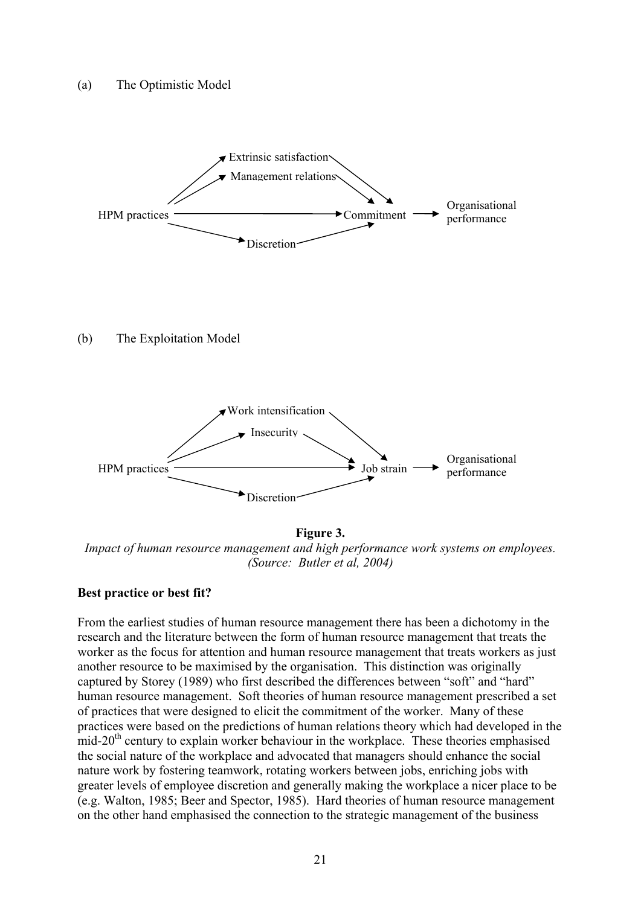

**Figure 3.**  *Impact of human resource management and high performance work systems on employees. (Source: Butler et al, 2004)* 

#### **Best practice or best fit?**

From the earliest studies of human resource management there has been a dichotomy in the research and the literature between the form of human resource management that treats the worker as the focus for attention and human resource management that treats workers as just another resource to be maximised by the organisation. This distinction was originally captured by Storey (1989) who first described the differences between "soft" and "hard" human resource management. Soft theories of human resource management prescribed a set of practices that were designed to elicit the commitment of the worker. Many of these practices were based on the predictions of human relations theory which had developed in the mid-20th century to explain worker behaviour in the workplace. These theories emphasised the social nature of the workplace and advocated that managers should enhance the social nature work by fostering teamwork, rotating workers between jobs, enriching jobs with greater levels of employee discretion and generally making the workplace a nicer place to be (e.g. Walton, 1985; Beer and Spector, 1985). Hard theories of human resource management on the other hand emphasised the connection to the strategic management of the business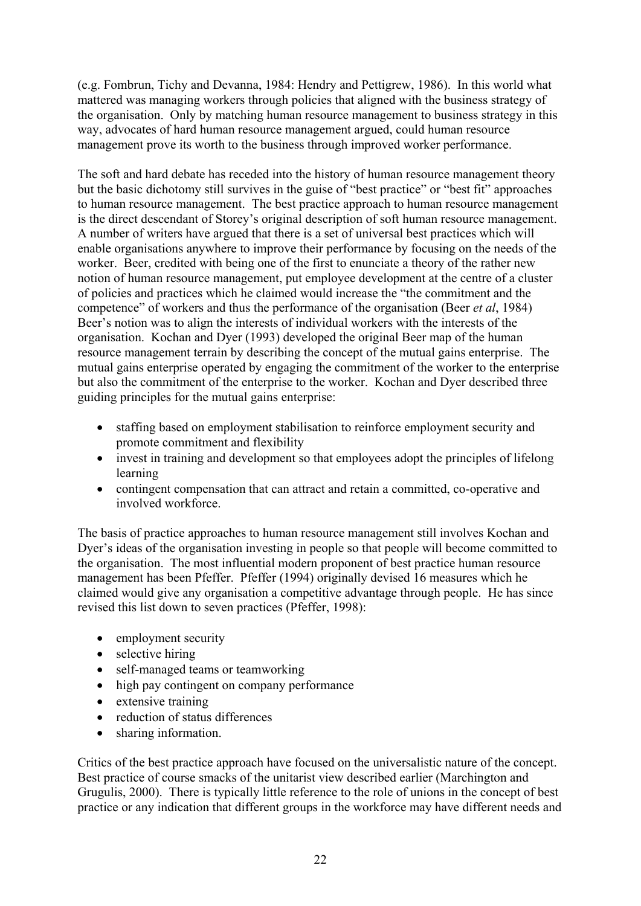(e.g. Fombrun, Tichy and Devanna, 1984: Hendry and Pettigrew, 1986). In this world what mattered was managing workers through policies that aligned with the business strategy of the organisation. Only by matching human resource management to business strategy in this way, advocates of hard human resource management argued, could human resource management prove its worth to the business through improved worker performance.

The soft and hard debate has receded into the history of human resource management theory but the basic dichotomy still survives in the guise of "best practice" or "best fit" approaches to human resource management. The best practice approach to human resource management is the direct descendant of Storey's original description of soft human resource management. A number of writers have argued that there is a set of universal best practices which will enable organisations anywhere to improve their performance by focusing on the needs of the worker. Beer, credited with being one of the first to enunciate a theory of the rather new notion of human resource management, put employee development at the centre of a cluster of policies and practices which he claimed would increase the "the commitment and the competence" of workers and thus the performance of the organisation (Beer *et al*, 1984) Beer's notion was to align the interests of individual workers with the interests of the organisation. Kochan and Dyer (1993) developed the original Beer map of the human resource management terrain by describing the concept of the mutual gains enterprise. The mutual gains enterprise operated by engaging the commitment of the worker to the enterprise but also the commitment of the enterprise to the worker. Kochan and Dyer described three guiding principles for the mutual gains enterprise:

- staffing based on employment stabilisation to reinforce employment security and promote commitment and flexibility
- invest in training and development so that employees adopt the principles of lifelong learning
- contingent compensation that can attract and retain a committed, co-operative and involved workforce.

The basis of practice approaches to human resource management still involves Kochan and Dyer's ideas of the organisation investing in people so that people will become committed to the organisation. The most influential modern proponent of best practice human resource management has been Pfeffer. Pfeffer (1994) originally devised 16 measures which he claimed would give any organisation a competitive advantage through people. He has since revised this list down to seven practices (Pfeffer, 1998):

- employment security
- selective hiring
- self-managed teams or teamworking
- high pay contingent on company performance
- extensive training
- reduction of status differences
- sharing information.

Critics of the best practice approach have focused on the universalistic nature of the concept. Best practice of course smacks of the unitarist view described earlier (Marchington and Grugulis, 2000). There is typically little reference to the role of unions in the concept of best practice or any indication that different groups in the workforce may have different needs and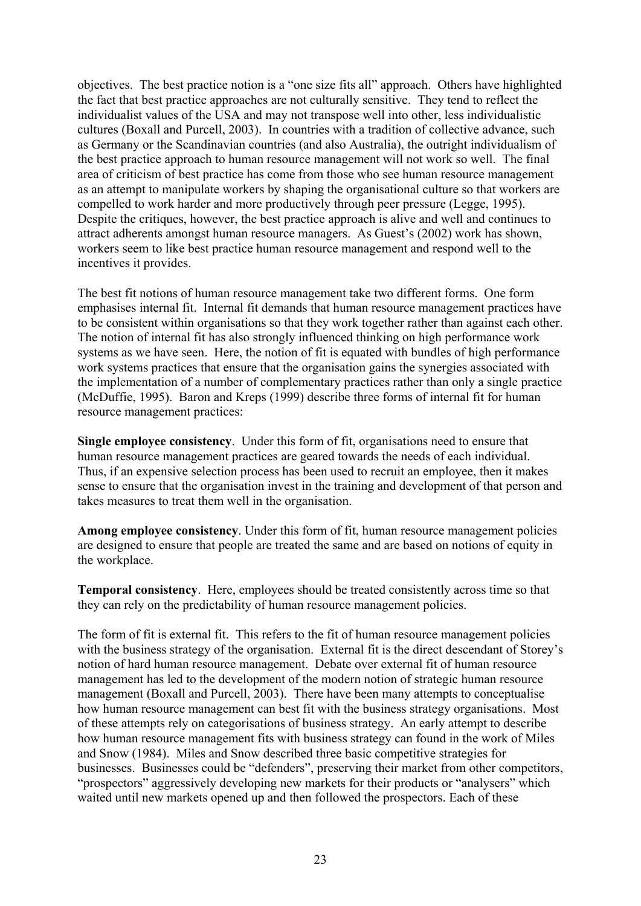objectives. The best practice notion is a "one size fits all" approach. Others have highlighted the fact that best practice approaches are not culturally sensitive. They tend to reflect the individualist values of the USA and may not transpose well into other, less individualistic cultures (Boxall and Purcell, 2003). In countries with a tradition of collective advance, such as Germany or the Scandinavian countries (and also Australia), the outright individualism of the best practice approach to human resource management will not work so well. The final area of criticism of best practice has come from those who see human resource management as an attempt to manipulate workers by shaping the organisational culture so that workers are compelled to work harder and more productively through peer pressure (Legge, 1995). Despite the critiques, however, the best practice approach is alive and well and continues to attract adherents amongst human resource managers. As Guest's (2002) work has shown, workers seem to like best practice human resource management and respond well to the incentives it provides.

The best fit notions of human resource management take two different forms. One form emphasises internal fit. Internal fit demands that human resource management practices have to be consistent within organisations so that they work together rather than against each other. The notion of internal fit has also strongly influenced thinking on high performance work systems as we have seen. Here, the notion of fit is equated with bundles of high performance work systems practices that ensure that the organisation gains the synergies associated with the implementation of a number of complementary practices rather than only a single practice (McDuffie, 1995). Baron and Kreps (1999) describe three forms of internal fit for human resource management practices:

**Single employee consistency**. Under this form of fit, organisations need to ensure that human resource management practices are geared towards the needs of each individual. Thus, if an expensive selection process has been used to recruit an employee, then it makes sense to ensure that the organisation invest in the training and development of that person and takes measures to treat them well in the organisation.

**Among employee consistency**. Under this form of fit, human resource management policies are designed to ensure that people are treated the same and are based on notions of equity in the workplace.

**Temporal consistency**. Here, employees should be treated consistently across time so that they can rely on the predictability of human resource management policies.

The form of fit is external fit. This refers to the fit of human resource management policies with the business strategy of the organisation. External fit is the direct descendant of Storey's notion of hard human resource management. Debate over external fit of human resource management has led to the development of the modern notion of strategic human resource management (Boxall and Purcell, 2003). There have been many attempts to conceptualise how human resource management can best fit with the business strategy organisations. Most of these attempts rely on categorisations of business strategy. An early attempt to describe how human resource management fits with business strategy can found in the work of Miles and Snow (1984). Miles and Snow described three basic competitive strategies for businesses. Businesses could be "defenders", preserving their market from other competitors, "prospectors" aggressively developing new markets for their products or "analysers" which waited until new markets opened up and then followed the prospectors. Each of these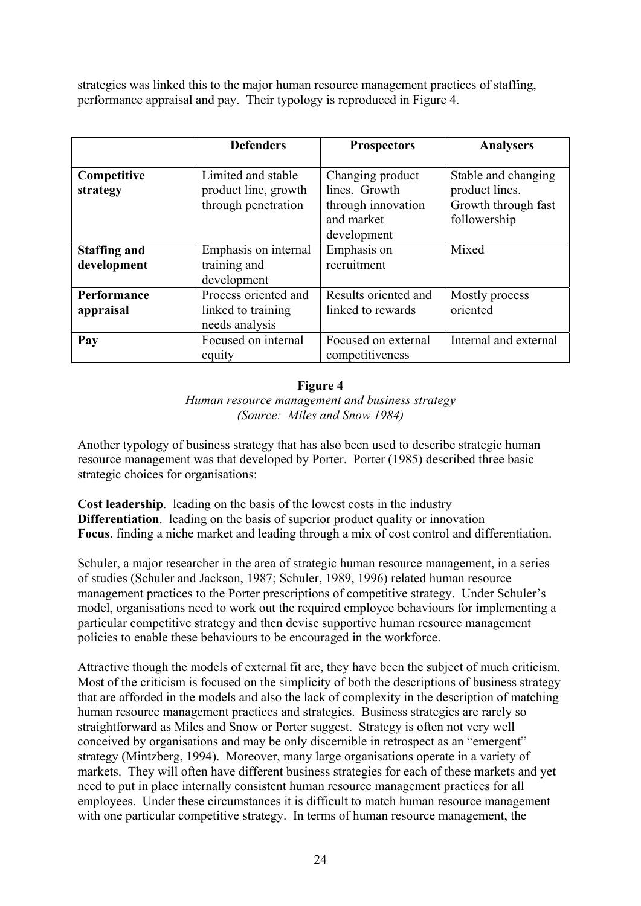strategies was linked this to the major human resource management practices of staffing, performance appraisal and pay. Their typology is reproduced in Figure 4.

|                                    | <b>Defenders</b>                                                  | <b>Prospectors</b>                                                                   | <b>Analysers</b>                                                             |
|------------------------------------|-------------------------------------------------------------------|--------------------------------------------------------------------------------------|------------------------------------------------------------------------------|
| Competitive<br>strategy            | Limited and stable<br>product line, growth<br>through penetration | Changing product<br>lines. Growth<br>through innovation<br>and market<br>development | Stable and changing<br>product lines.<br>Growth through fast<br>followership |
| <b>Staffing and</b><br>development | Emphasis on internal<br>training and<br>development               | Emphasis on<br>recruitment                                                           | Mixed                                                                        |
| Performance<br>appraisal           | Process oriented and<br>linked to training<br>needs analysis      | Results oriented and<br>linked to rewards                                            | Mostly process<br>oriented                                                   |
| Pay                                | Focused on internal<br>equity                                     | Focused on external<br>competitiveness                                               | Internal and external                                                        |

#### **Figure 4**

*Human resource management and business strategy (Source: Miles and Snow 1984)* 

Another typology of business strategy that has also been used to describe strategic human resource management was that developed by Porter. Porter (1985) described three basic strategic choices for organisations:

**Cost leadership**. leading on the basis of the lowest costs in the industry **Differentiation**. leading on the basis of superior product quality or innovation **Focus**. finding a niche market and leading through a mix of cost control and differentiation.

Schuler, a major researcher in the area of strategic human resource management, in a series of studies (Schuler and Jackson, 1987; Schuler, 1989, 1996) related human resource management practices to the Porter prescriptions of competitive strategy. Under Schuler's model, organisations need to work out the required employee behaviours for implementing a particular competitive strategy and then devise supportive human resource management policies to enable these behaviours to be encouraged in the workforce.

Attractive though the models of external fit are, they have been the subject of much criticism. Most of the criticism is focused on the simplicity of both the descriptions of business strategy that are afforded in the models and also the lack of complexity in the description of matching human resource management practices and strategies. Business strategies are rarely so straightforward as Miles and Snow or Porter suggest. Strategy is often not very well conceived by organisations and may be only discernible in retrospect as an "emergent" strategy (Mintzberg, 1994). Moreover, many large organisations operate in a variety of markets. They will often have different business strategies for each of these markets and yet need to put in place internally consistent human resource management practices for all employees. Under these circumstances it is difficult to match human resource management with one particular competitive strategy. In terms of human resource management, the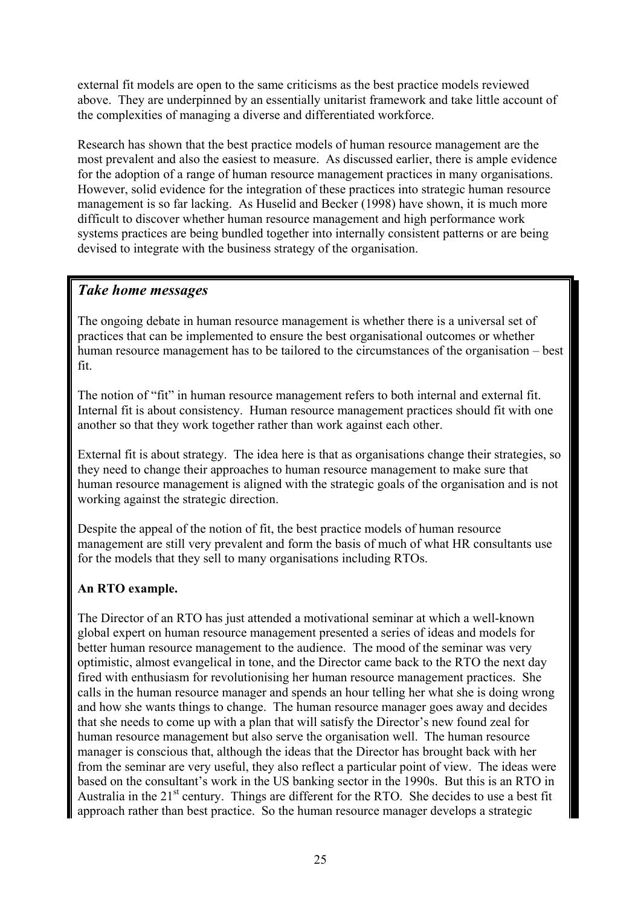external fit models are open to the same criticisms as the best practice models reviewed above. They are underpinned by an essentially unitarist framework and take little account of the complexities of managing a diverse and differentiated workforce.

Research has shown that the best practice models of human resource management are the most prevalent and also the easiest to measure. As discussed earlier, there is ample evidence for the adoption of a range of human resource management practices in many organisations. However, solid evidence for the integration of these practices into strategic human resource management is so far lacking. As Huselid and Becker (1998) have shown, it is much more difficult to discover whether human resource management and high performance work systems practices are being bundled together into internally consistent patterns or are being devised to integrate with the business strategy of the organisation.

# *Take home messages*

The ongoing debate in human resource management is whether there is a universal set of practices that can be implemented to ensure the best organisational outcomes or whether human resource management has to be tailored to the circumstances of the organisation – best fit.

The notion of "fit" in human resource management refers to both internal and external fit. Internal fit is about consistency. Human resource management practices should fit with one another so that they work together rather than work against each other.

External fit is about strategy. The idea here is that as organisations change their strategies, so they need to change their approaches to human resource management to make sure that human resource management is aligned with the strategic goals of the organisation and is not working against the strategic direction.

Despite the appeal of the notion of fit, the best practice models of human resource management are still very prevalent and form the basis of much of what HR consultants use for the models that they sell to many organisations including RTOs.

# **An RTO example.**

The Director of an RTO has just attended a motivational seminar at which a well-known global expert on human resource management presented a series of ideas and models for better human resource management to the audience. The mood of the seminar was very optimistic, almost evangelical in tone, and the Director came back to the RTO the next day fired with enthusiasm for revolutionising her human resource management practices. She calls in the human resource manager and spends an hour telling her what she is doing wrong and how she wants things to change. The human resource manager goes away and decides that she needs to come up with a plan that will satisfy the Director's new found zeal for human resource management but also serve the organisation well. The human resource manager is conscious that, although the ideas that the Director has brought back with her from the seminar are very useful, they also reflect a particular point of view. The ideas were based on the consultant's work in the US banking sector in the 1990s. But this is an RTO in Australia in the  $21<sup>st</sup>$  century. Things are different for the RTO. She decides to use a best fit approach rather than best practice. So the human resource manager develops a strategic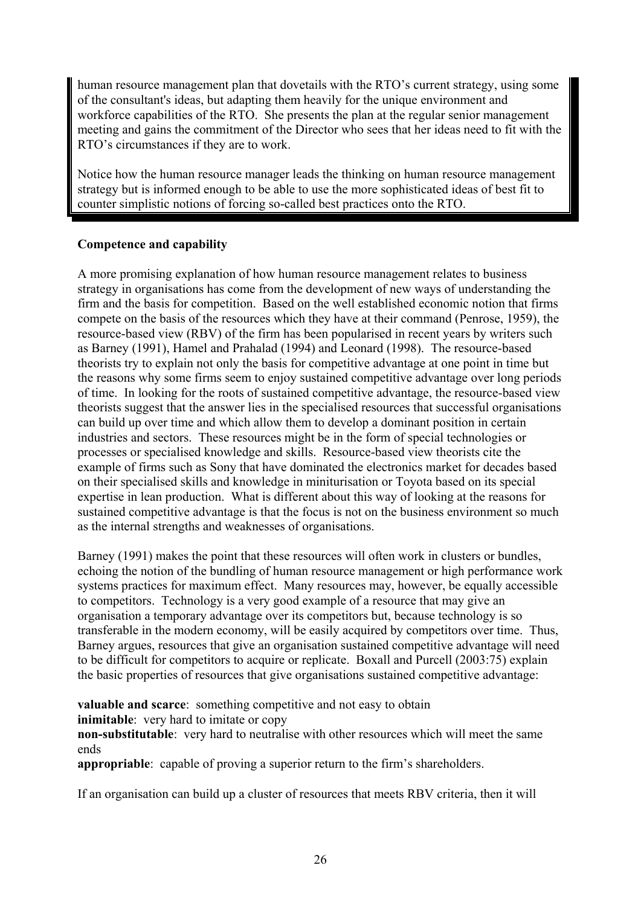human resource management plan that dovetails with the RTO's current strategy, using some of the consultant's ideas, but adapting them heavily for the unique environment and workforce capabilities of the RTO. She presents the plan at the regular senior management meeting and gains the commitment of the Director who sees that her ideas need to fit with the RTO's circumstances if they are to work.

Notice how the human resource manager leads the thinking on human resource management strategy but is informed enough to be able to use the more sophisticated ideas of best fit to counter simplistic notions of forcing so-called best practices onto the RTO.

#### **Competence and capability**

A more promising explanation of how human resource management relates to business strategy in organisations has come from the development of new ways of understanding the firm and the basis for competition. Based on the well established economic notion that firms compete on the basis of the resources which they have at their command (Penrose, 1959), the resource-based view (RBV) of the firm has been popularised in recent years by writers such as Barney (1991), Hamel and Prahalad (1994) and Leonard (1998). The resource-based theorists try to explain not only the basis for competitive advantage at one point in time but the reasons why some firms seem to enjoy sustained competitive advantage over long periods of time. In looking for the roots of sustained competitive advantage, the resource-based view theorists suggest that the answer lies in the specialised resources that successful organisations can build up over time and which allow them to develop a dominant position in certain industries and sectors. These resources might be in the form of special technologies or processes or specialised knowledge and skills. Resource-based view theorists cite the example of firms such as Sony that have dominated the electronics market for decades based on their specialised skills and knowledge in miniturisation or Toyota based on its special expertise in lean production. What is different about this way of looking at the reasons for sustained competitive advantage is that the focus is not on the business environment so much as the internal strengths and weaknesses of organisations.

Barney (1991) makes the point that these resources will often work in clusters or bundles, echoing the notion of the bundling of human resource management or high performance work systems practices for maximum effect. Many resources may, however, be equally accessible to competitors. Technology is a very good example of a resource that may give an organisation a temporary advantage over its competitors but, because technology is so transferable in the modern economy, will be easily acquired by competitors over time. Thus, Barney argues, resources that give an organisation sustained competitive advantage will need to be difficult for competitors to acquire or replicate. Boxall and Purcell (2003:75) explain the basic properties of resources that give organisations sustained competitive advantage:

**valuable and scarce**: something competitive and not easy to obtain **inimitable**: very hard to imitate or copy

**non-substitutable**: very hard to neutralise with other resources which will meet the same ends

**appropriable**: capable of proving a superior return to the firm's shareholders.

If an organisation can build up a cluster of resources that meets RBV criteria, then it will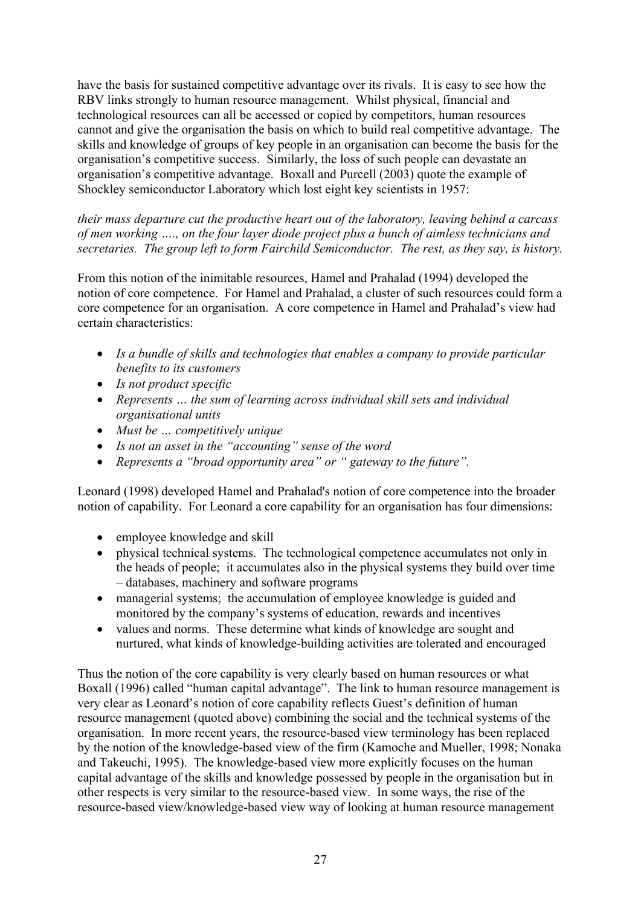have the basis for sustained competitive advantage over its rivals. It is easy to see how the RBV links strongly to human resource management. Whilst physical, financial and technological resources can all be accessed or copied by competitors, human resources cannot and give the organisation the basis on which to build real competitive advantage. The skills and knowledge of groups of key people in an organisation can become the basis for the organisation's competitive success. Similarly, the loss of such people can devastate an organisation's competitive advantage. Boxall and Purcell (2003) quote the example of Shockley semiconductor Laboratory which lost eight key scientists in 1957:

*their mass departure cut the productive heart out of the laboratory, leaving behind a carcass of men working …., on the four layer diode project plus a bunch of aimless technicians and secretaries. The group left to form Fairchild Semiconductor. The rest, as they say, is history.* 

From this notion of the inimitable resources, Hamel and Prahalad (1994) developed the notion of core competence. For Hamel and Prahalad, a cluster of such resources could form a core competence for an organisation. A core competence in Hamel and Prahalad's view had certain characteristics:

- *Is a bundle of skills and technologies that enables a company to provide particular benefits to its customers*
- *Is not product specific*
- *Represents … the sum of learning across individual skill sets and individual organisational units*
- *Must be … competitively unique*
- *Is not an asset in the "accounting" sense of the word*
- *Represents a "broad opportunity area" or " gateway to the future".*

Leonard (1998) developed Hamel and Prahalad's notion of core competence into the broader notion of capability. For Leonard a core capability for an organisation has four dimensions:

- employee knowledge and skill
- physical technical systems. The technological competence accumulates not only in the heads of people; it accumulates also in the physical systems they build over time – databases, machinery and software programs
- managerial systems; the accumulation of employee knowledge is guided and monitored by the company's systems of education, rewards and incentives
- values and norms. These determine what kinds of knowledge are sought and nurtured, what kinds of knowledge-building activities are tolerated and encouraged

Thus the notion of the core capability is very clearly based on human resources or what Boxall (1996) called "human capital advantage". The link to human resource management is very clear as Leonard's notion of core capability reflects Guest's definition of human resource management (quoted above) combining the social and the technical systems of the organisation. In more recent years, the resource-based view terminology has been replaced by the notion of the knowledge-based view of the firm (Kamoche and Mueller, 1998; Nonaka and Takeuchi, 1995). The knowledge-based view more explicitly focuses on the human capital advantage of the skills and knowledge possessed by people in the organisation but in other respects is very similar to the resource-based view. In some ways, the rise of the resource-based view/knowledge-based view way of looking at human resource management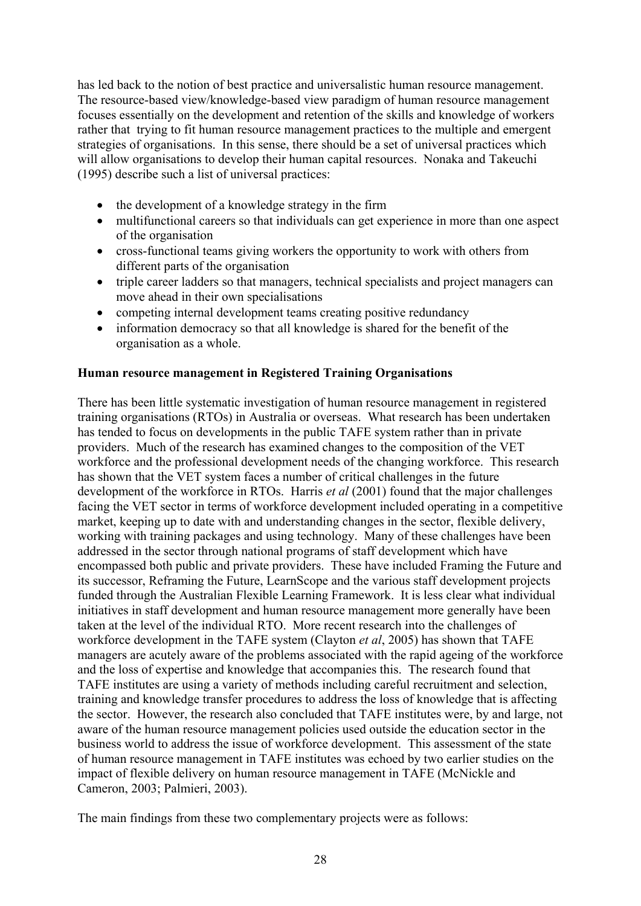has led back to the notion of best practice and universalistic human resource management. The resource-based view/knowledge-based view paradigm of human resource management focuses essentially on the development and retention of the skills and knowledge of workers rather that trying to fit human resource management practices to the multiple and emergent strategies of organisations. In this sense, there should be a set of universal practices which will allow organisations to develop their human capital resources. Nonaka and Takeuchi (1995) describe such a list of universal practices:

- the development of a knowledge strategy in the firm
- multifunctional careers so that individuals can get experience in more than one aspect of the organisation
- cross-functional teams giving workers the opportunity to work with others from different parts of the organisation
- triple career ladders so that managers, technical specialists and project managers can move ahead in their own specialisations
- competing internal development teams creating positive redundancy
- information democracy so that all knowledge is shared for the benefit of the organisation as a whole.

#### **Human resource management in Registered Training Organisations**

There has been little systematic investigation of human resource management in registered training organisations (RTOs) in Australia or overseas. What research has been undertaken has tended to focus on developments in the public TAFE system rather than in private providers. Much of the research has examined changes to the composition of the VET workforce and the professional development needs of the changing workforce. This research has shown that the VET system faces a number of critical challenges in the future development of the workforce in RTOs. Harris *et al* (2001) found that the major challenges facing the VET sector in terms of workforce development included operating in a competitive market, keeping up to date with and understanding changes in the sector, flexible delivery, working with training packages and using technology. Many of these challenges have been addressed in the sector through national programs of staff development which have encompassed both public and private providers. These have included Framing the Future and its successor, Reframing the Future, LearnScope and the various staff development projects funded through the Australian Flexible Learning Framework. It is less clear what individual initiatives in staff development and human resource management more generally have been taken at the level of the individual RTO. More recent research into the challenges of workforce development in the TAFE system (Clayton *et al*, 2005) has shown that TAFE managers are acutely aware of the problems associated with the rapid ageing of the workforce and the loss of expertise and knowledge that accompanies this. The research found that TAFE institutes are using a variety of methods including careful recruitment and selection, training and knowledge transfer procedures to address the loss of knowledge that is affecting the sector. However, the research also concluded that TAFE institutes were, by and large, not aware of the human resource management policies used outside the education sector in the business world to address the issue of workforce development. This assessment of the state of human resource management in TAFE institutes was echoed by two earlier studies on the impact of flexible delivery on human resource management in TAFE (McNickle and Cameron, 2003; Palmieri, 2003).

The main findings from these two complementary projects were as follows: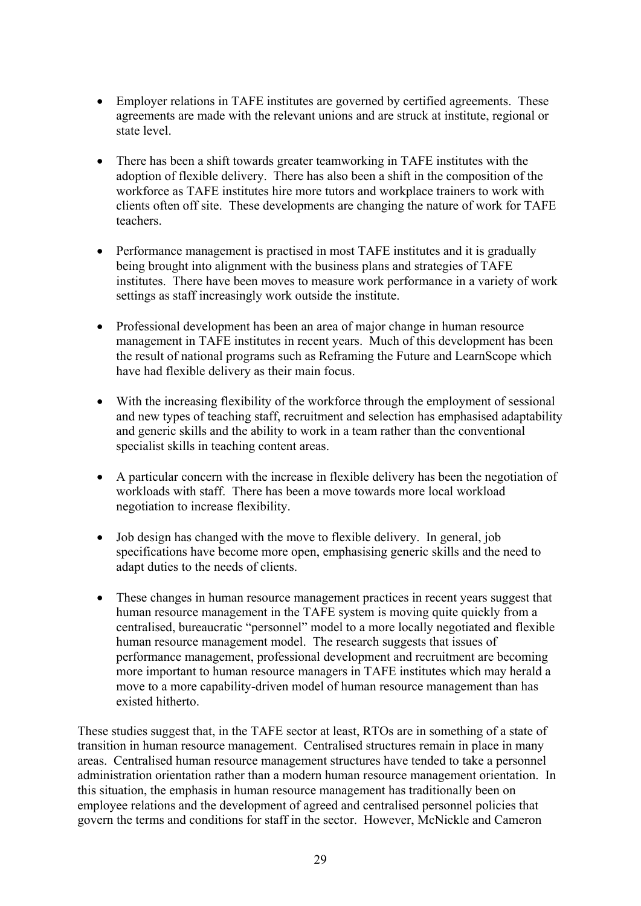- Employer relations in TAFE institutes are governed by certified agreements. These agreements are made with the relevant unions and are struck at institute, regional or state level.
- There has been a shift towards greater teamworking in TAFE institutes with the adoption of flexible delivery. There has also been a shift in the composition of the workforce as TAFE institutes hire more tutors and workplace trainers to work with clients often off site. These developments are changing the nature of work for TAFE teachers.
- Performance management is practised in most TAFE institutes and it is gradually being brought into alignment with the business plans and strategies of TAFE institutes. There have been moves to measure work performance in a variety of work settings as staff increasingly work outside the institute.
- Professional development has been an area of major change in human resource management in TAFE institutes in recent years. Much of this development has been the result of national programs such as Reframing the Future and LearnScope which have had flexible delivery as their main focus.
- With the increasing flexibility of the workforce through the employment of sessional and new types of teaching staff, recruitment and selection has emphasised adaptability and generic skills and the ability to work in a team rather than the conventional specialist skills in teaching content areas.
- A particular concern with the increase in flexible delivery has been the negotiation of workloads with staff. There has been a move towards more local workload negotiation to increase flexibility.
- Job design has changed with the move to flexible delivery. In general, job specifications have become more open, emphasising generic skills and the need to adapt duties to the needs of clients.
- These changes in human resource management practices in recent years suggest that human resource management in the TAFE system is moving quite quickly from a centralised, bureaucratic "personnel" model to a more locally negotiated and flexible human resource management model. The research suggests that issues of performance management, professional development and recruitment are becoming more important to human resource managers in TAFE institutes which may herald a move to a more capability-driven model of human resource management than has existed hitherto.

These studies suggest that, in the TAFE sector at least, RTOs are in something of a state of transition in human resource management. Centralised structures remain in place in many areas. Centralised human resource management structures have tended to take a personnel administration orientation rather than a modern human resource management orientation. In this situation, the emphasis in human resource management has traditionally been on employee relations and the development of agreed and centralised personnel policies that govern the terms and conditions for staff in the sector. However, McNickle and Cameron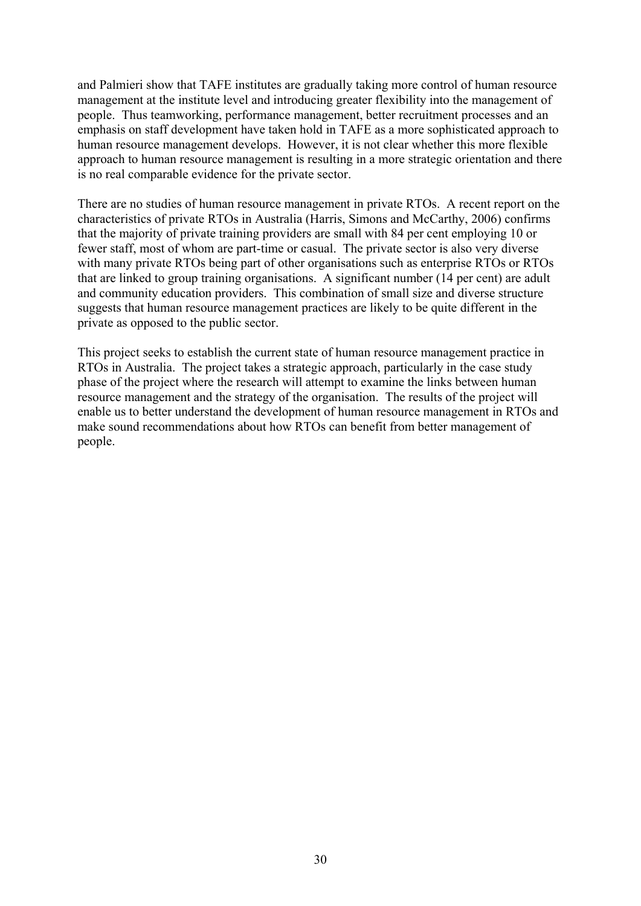and Palmieri show that TAFE institutes are gradually taking more control of human resource management at the institute level and introducing greater flexibility into the management of people. Thus teamworking, performance management, better recruitment processes and an emphasis on staff development have taken hold in TAFE as a more sophisticated approach to human resource management develops. However, it is not clear whether this more flexible approach to human resource management is resulting in a more strategic orientation and there is no real comparable evidence for the private sector.

There are no studies of human resource management in private RTOs. A recent report on the characteristics of private RTOs in Australia (Harris, Simons and McCarthy, 2006) confirms that the majority of private training providers are small with 84 per cent employing 10 or fewer staff, most of whom are part-time or casual. The private sector is also very diverse with many private RTOs being part of other organisations such as enterprise RTOs or RTOs that are linked to group training organisations. A significant number (14 per cent) are adult and community education providers. This combination of small size and diverse structure suggests that human resource management practices are likely to be quite different in the private as opposed to the public sector.

This project seeks to establish the current state of human resource management practice in RTOs in Australia. The project takes a strategic approach, particularly in the case study phase of the project where the research will attempt to examine the links between human resource management and the strategy of the organisation. The results of the project will enable us to better understand the development of human resource management in RTOs and make sound recommendations about how RTOs can benefit from better management of people.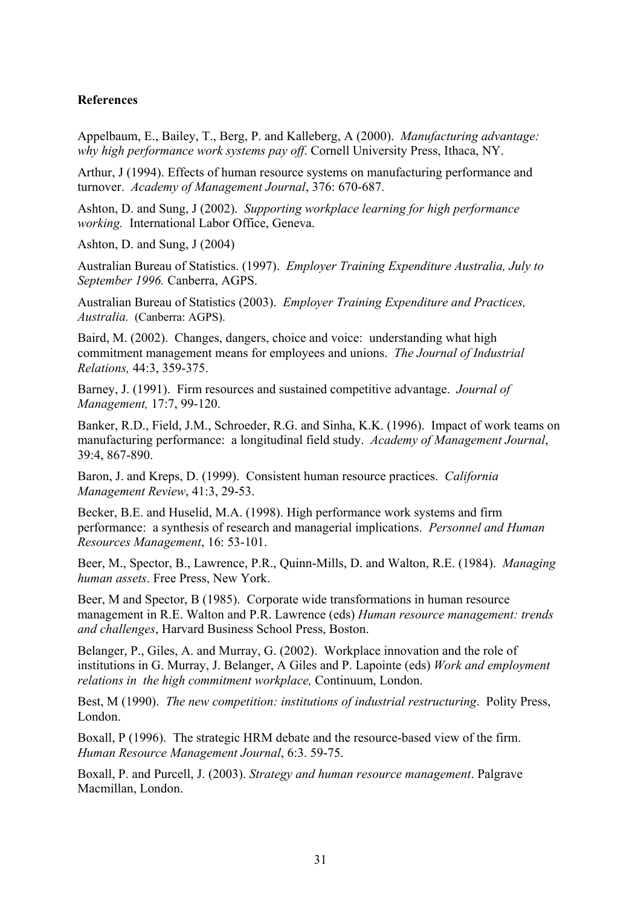#### **References**

Appelbaum, E., Bailey, T., Berg, P. and Kalleberg, A (2000). *Manufacturing advantage: why high performance work systems pay off*. Cornell University Press, Ithaca, NY.

Arthur, J (1994). Effects of human resource systems on manufacturing performance and turnover. *Academy of Management Journal*, 376: 670-687.

Ashton, D. and Sung, J (2002). *Supporting workplace learning for high performance working.* International Labor Office, Geneva.

Ashton, D. and Sung, J (2004)

Australian Bureau of Statistics. (1997). *Employer Training Expenditure Australia, July to September 1996.* Canberra, AGPS.

Australian Bureau of Statistics (2003). *Employer Training Expenditure and Practices, Australia.* (Canberra: AGPS).

Baird, M. (2002). Changes, dangers, choice and voice: understanding what high commitment management means for employees and unions. *The Journal of Industrial Relations,* 44:3, 359-375.

Barney, J. (1991). Firm resources and sustained competitive advantage. *Journal of Management,* 17:7, 99-120.

Banker, R.D., Field, J.M., Schroeder, R.G. and Sinha, K.K. (1996). Impact of work teams on manufacturing performance: a longitudinal field study. *Academy of Management Journal*, 39:4, 867-890.

Baron, J. and Kreps, D. (1999). Consistent human resource practices. *California Management Review*, 41:3, 29-53.

Becker, B.E. and Huselid, M.A. (1998). High performance work systems and firm performance: a synthesis of research and managerial implications. *Personnel and Human Resources Management*, 16: 53-101.

Beer, M., Spector, B., Lawrence, P.R., Quinn-Mills, D. and Walton, R.E. (1984). *Managing human assets*. Free Press, New York.

Beer, M and Spector, B (1985). Corporate wide transformations in human resource management in R.E. Walton and P.R. Lawrence (eds) *Human resource management: trends and challenges*, Harvard Business School Press, Boston.

Belanger, P., Giles, A. and Murray, G. (2002). Workplace innovation and the role of institutions in G. Murray, J. Belanger, A Giles and P. Lapointe (eds) *Work and employment relations in the high commitment workplace,* Continuum, London.

Best, M (1990). *The new competition: institutions of industrial restructuring*. Polity Press, London.

Boxall, P (1996). The strategic HRM debate and the resource-based view of the firm. *Human Resource Management Journal*, 6:3. 59-75.

Boxall, P. and Purcell, J. (2003). *Strategy and human resource management*. Palgrave Macmillan, London.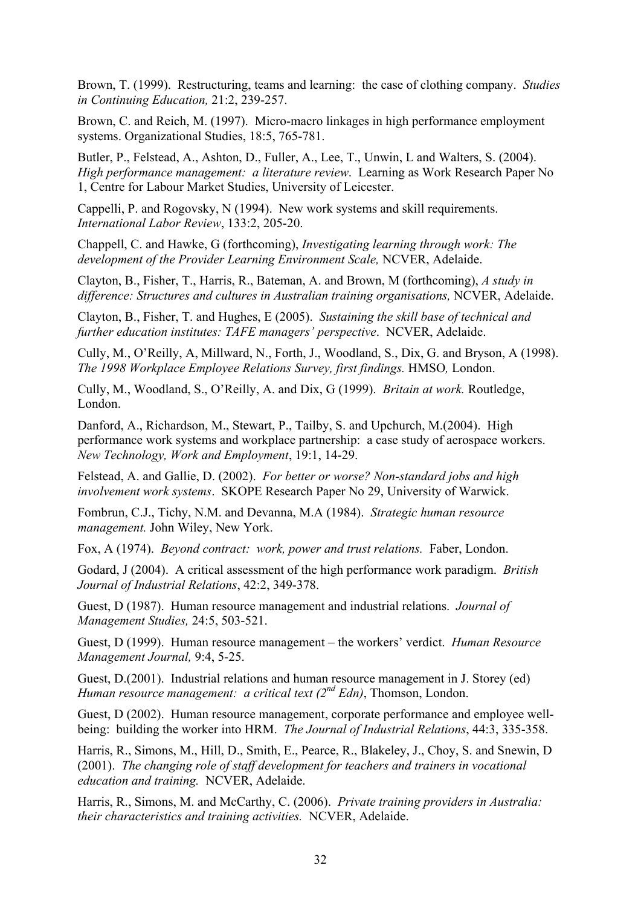Brown, T. (1999). Restructuring, teams and learning: the case of clothing company. *Studies in Continuing Education,* 21:2, 239-257.

Brown, C. and Reich, M. (1997). Micro-macro linkages in high performance employment systems. Organizational Studies, 18:5, 765-781.

Butler, P., Felstead, A., Ashton, D., Fuller, A., Lee, T., Unwin, L and Walters, S. (2004). *High performance management: a literature review*. Learning as Work Research Paper No 1, Centre for Labour Market Studies, University of Leicester.

Cappelli, P. and Rogovsky, N (1994). New work systems and skill requirements. *International Labor Review*, 133:2, 205-20.

Chappell, C. and Hawke, G (forthcoming), *Investigating learning through work: The development of the Provider Learning Environment Scale,* NCVER, Adelaide.

Clayton, B., Fisher, T., Harris, R., Bateman, A. and Brown, M (forthcoming), *A study in difference: Structures and cultures in Australian training organisations,* NCVER, Adelaide.

Clayton, B., Fisher, T. and Hughes, E (2005). *Sustaining the skill base of technical and further education institutes: TAFE managers' perspective*. NCVER, Adelaide.

Cully, M., O'Reilly, A, Millward, N., Forth, J., Woodland, S., Dix, G. and Bryson, A (1998). *The 1998 Workplace Employee Relations Survey, first findings.* HMSO*,* London.

Cully, M., Woodland, S., O'Reilly, A. and Dix, G (1999). *Britain at work.* Routledge, London.

Danford, A., Richardson, M., Stewart, P., Tailby, S. and Upchurch, M.(2004). High performance work systems and workplace partnership: a case study of aerospace workers. *New Technology, Work and Employment*, 19:1, 14-29.

Felstead, A. and Gallie, D. (2002). *For better or worse? Non-standard jobs and high involvement work systems*. SKOPE Research Paper No 29, University of Warwick.

Fombrun, C.J., Tichy, N.M. and Devanna, M.A (1984). *Strategic human resource management.* John Wiley, New York.

Fox, A (1974). *Beyond contract: work, power and trust relations.* Faber, London.

Godard, J (2004). A critical assessment of the high performance work paradigm. *British Journal of Industrial Relations*, 42:2, 349-378.

Guest, D (1987). Human resource management and industrial relations. *Journal of Management Studies,* 24:5, 503-521.

Guest, D (1999). Human resource management – the workers' verdict. *Human Resource Management Journal,* 9:4, 5-25.

Guest, D.(2001). Industrial relations and human resource management in J. Storey (ed) *Human resource management: a critical text (2nd Edn)*, Thomson, London.

Guest, D (2002). Human resource management, corporate performance and employee wellbeing: building the worker into HRM. *The Journal of Industrial Relations*, 44:3, 335-358.

Harris, R., Simons, M., Hill, D., Smith, E., Pearce, R., Blakeley, J., Choy, S. and Snewin, D (2001). *The changing role of staff development for teachers and trainers in vocational education and training.* NCVER, Adelaide.

Harris, R., Simons, M. and McCarthy, C. (2006). *Private training providers in Australia: their characteristics and training activities.* NCVER, Adelaide.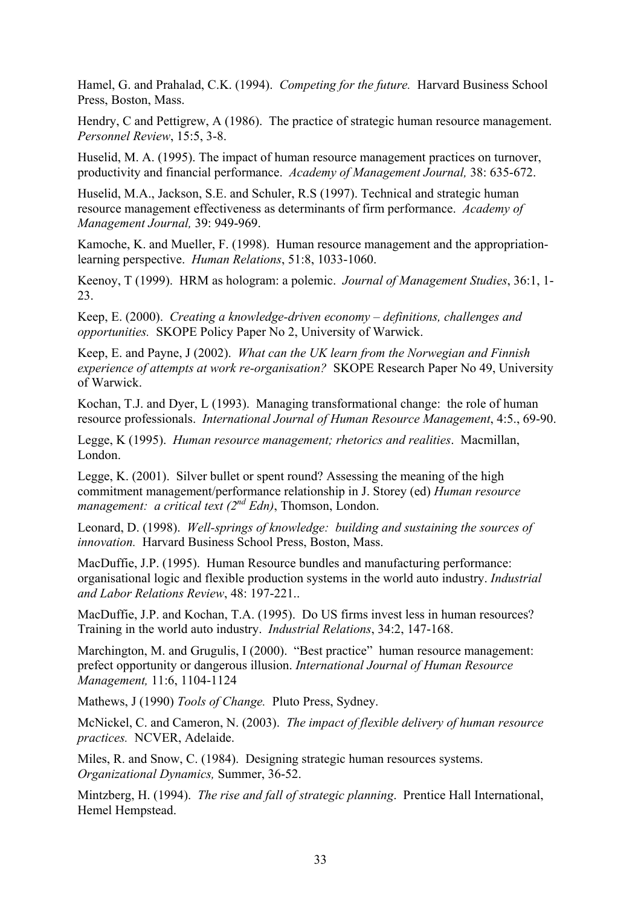Hamel, G. and Prahalad, C.K. (1994). *Competing for the future.* Harvard Business School Press, Boston, Mass.

Hendry, C and Pettigrew, A (1986). The practice of strategic human resource management. *Personnel Review*, 15:5, 3-8.

Huselid, M. A. (1995). The impact of human resource management practices on turnover, productivity and financial performance. *Academy of Management Journal,* 38: 635-672.

Huselid, M.A., Jackson, S.E. and Schuler, R.S (1997). Technical and strategic human resource management effectiveness as determinants of firm performance. *Academy of Management Journal,* 39: 949-969.

Kamoche, K. and Mueller, F. (1998). Human resource management and the appropriationlearning perspective. *Human Relations*, 51:8, 1033-1060.

Keenoy, T (1999). HRM as hologram: a polemic. *Journal of Management Studies*, 36:1, 1- 23.

Keep, E. (2000). *Creating a knowledge-driven economy – definitions, challenges and opportunities.* SKOPE Policy Paper No 2, University of Warwick.

Keep, E. and Payne, J (2002). *What can the UK learn from the Norwegian and Finnish experience of attempts at work re-organisation?* SKOPE Research Paper No 49, University of Warwick.

Kochan, T.J. and Dyer, L (1993). Managing transformational change: the role of human resource professionals. *International Journal of Human Resource Management*, 4:5., 69-90.

Legge, K (1995). *Human resource management; rhetorics and realities*. Macmillan, London.

Legge, K. (2001). Silver bullet or spent round? Assessing the meaning of the high commitment management/performance relationship in J. Storey (ed) *Human resource management: a critical text (2<sup>nd</sup> Edn)*, Thomson, London.

Leonard, D. (1998). *Well-springs of knowledge: building and sustaining the sources of innovation.* Harvard Business School Press, Boston, Mass.

MacDuffie, J.P. (1995). Human Resource bundles and manufacturing performance: organisational logic and flexible production systems in the world auto industry. *Industrial and Labor Relations Review*, 48: 197-221..

MacDuffie, J.P. and Kochan, T.A. (1995). Do US firms invest less in human resources? Training in the world auto industry. *Industrial Relations*, 34:2, 147-168.

Marchington, M. and Grugulis, I (2000). "Best practice" human resource management: prefect opportunity or dangerous illusion. *International Journal of Human Resource Management,* 11:6, 1104-1124

Mathews, J (1990) *Tools of Change.* Pluto Press, Sydney.

McNickel, C. and Cameron, N. (2003). *The impact of flexible delivery of human resource practices.* NCVER, Adelaide.

Miles, R. and Snow, C. (1984). Designing strategic human resources systems. *Organizational Dynamics,* Summer, 36-52.

Mintzberg, H. (1994). *The rise and fall of strategic planning*. Prentice Hall International, Hemel Hempstead.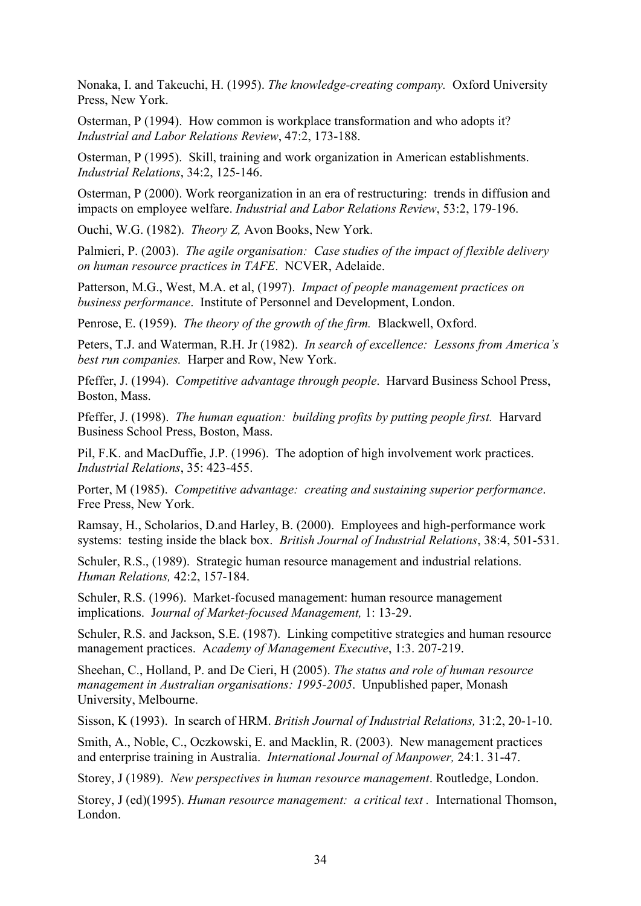Nonaka, I. and Takeuchi, H. (1995). *The knowledge-creating company.* Oxford University Press, New York.

Osterman, P (1994). How common is workplace transformation and who adopts it? *Industrial and Labor Relations Review*, 47:2, 173-188.

Osterman, P (1995). Skill, training and work organization in American establishments. *Industrial Relations*, 34:2, 125-146.

Osterman, P (2000). Work reorganization in an era of restructuring: trends in diffusion and impacts on employee welfare. *Industrial and Labor Relations Review*, 53:2, 179-196.

Ouchi, W.G. (1982). *Theory Z,* Avon Books, New York.

Palmieri, P. (2003). *The agile organisation: Case studies of the impact of flexible delivery on human resource practices in TAFE*. NCVER, Adelaide.

Patterson, M.G., West, M.A. et al, (1997). *Impact of people management practices on business performance*. Institute of Personnel and Development, London.

Penrose, E. (1959). *The theory of the growth of the firm.* Blackwell, Oxford.

Peters, T.J. and Waterman, R.H. Jr (1982). *In search of excellence: Lessons from America's best run companies.* Harper and Row, New York.

Pfeffer, J. (1994). *Competitive advantage through people*. Harvard Business School Press, Boston, Mass.

Pfeffer, J. (1998). *The human equation: building profits by putting people first.* Harvard Business School Press, Boston, Mass.

Pil, F.K. and MacDuffie, J.P. (1996). The adoption of high involvement work practices. *Industrial Relations*, 35: 423-455.

Porter, M (1985). *Competitive advantage: creating and sustaining superior performance*. Free Press, New York.

Ramsay, H., Scholarios, D.and Harley, B. (2000). Employees and high-performance work systems: testing inside the black box. *British Journal of Industrial Relations*, 38:4, 501-531.

Schuler, R.S., (1989). Strategic human resource management and industrial relations. *Human Relations,* 42:2, 157-184.

Schuler, R.S. (1996). Market-focused management: human resource management implications. J*ournal of Market-focused Management,* 1: 13-29.

Schuler, R.S. and Jackson, S.E. (1987). Linking competitive strategies and human resource management practices. A*cademy of Management Executive*, 1:3. 207-219.

Sheehan, C., Holland, P. and De Cieri, H (2005). *The status and role of human resource management in Australian organisations: 1995-2005*. Unpublished paper, Monash University, Melbourne.

Sisson, K (1993). In search of HRM. *British Journal of Industrial Relations,* 31:2, 20-1-10.

Smith, A., Noble, C., Oczkowski, E. and Macklin, R. (2003). New management practices and enterprise training in Australia. *International Journal of Manpower,* 24:1. 31-47.

Storey, J (1989). *New perspectives in human resource management*. Routledge, London.

Storey, J (ed)(1995). *Human resource management: a critical text .* International Thomson, London.